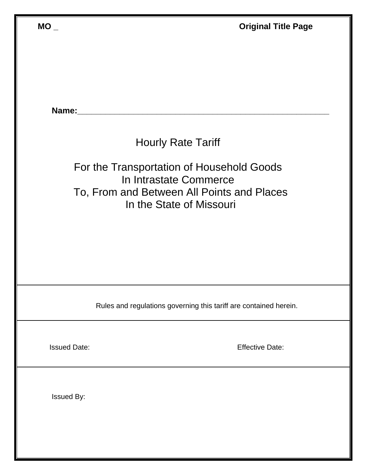| $MO_{-}$            | <b>Original Title Page</b>                                                                                                                    |
|---------------------|-----------------------------------------------------------------------------------------------------------------------------------------------|
|                     |                                                                                                                                               |
|                     |                                                                                                                                               |
| Name:               |                                                                                                                                               |
|                     | <b>Hourly Rate Tariff</b>                                                                                                                     |
|                     | For the Transportation of Household Goods<br>In Intrastate Commerce<br>To, From and Between All Points and Places<br>In the State of Missouri |
|                     | Rules and regulations governing this tariff are contained herein.                                                                             |
| <b>Issued Date:</b> | <b>Effective Date:</b>                                                                                                                        |
| <b>Issued By:</b>   |                                                                                                                                               |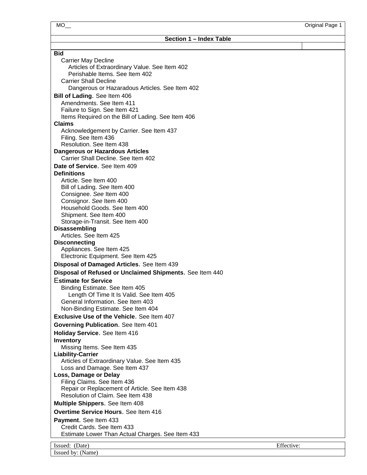| Section 1 – Index Table                                                        |            |
|--------------------------------------------------------------------------------|------------|
|                                                                                |            |
| <b>Bid</b>                                                                     |            |
| <b>Carrier May Decline</b><br>Articles of Extraordinary Value. See Item 402    |            |
| Perishable Items. See Item 402                                                 |            |
| <b>Carrier Shall Decline</b>                                                   |            |
| Dangerous or Hazaradous Articles. See Item 402                                 |            |
| Bill of Lading. See Item 406                                                   |            |
| Amendments. See Item 411                                                       |            |
| Failure to Sign. See Item 421                                                  |            |
| Items Required on the Bill of Lading. See Item 406                             |            |
| <b>Claims</b>                                                                  |            |
| Acknowledgement by Carrier. See Item 437                                       |            |
| Filing. See Item 436<br>Resolution. See Item 438                               |            |
| <b>Dangerous or Hazardous Articles</b>                                         |            |
| Carrier Shall Decline, See Item 402                                            |            |
| Date of Service. See Item 409                                                  |            |
| <b>Definitions</b>                                                             |            |
| Article. See Item 400                                                          |            |
| Bill of Lading. See Item 400                                                   |            |
| Consignee. See Item 400                                                        |            |
| Consignor. See Item 400                                                        |            |
| Household Goods. See Item 400                                                  |            |
| Shipment. See Item 400                                                         |            |
| Storage-in-Transit. See Item 400<br><b>Disassembling</b>                       |            |
| Articles. See Item 425                                                         |            |
| <b>Disconnecting</b>                                                           |            |
| Appliances. See Item 425                                                       |            |
| Electronic Equipment. See Item 425                                             |            |
| Disposal of Damaged Articles. See Item 439                                     |            |
| Disposal of Refused or Unclaimed Shipments. See Item 440                       |            |
| <b>Estimate for Service</b>                                                    |            |
| Binding Estimate. See Item 405                                                 |            |
| Length Of Time It Is Valid. See Item 405                                       |            |
| General Information. See Item 403                                              |            |
| Non-Binding Estimate. See Item 404                                             |            |
| <b>Exclusive Use of the Vehicle. See Item 407</b>                              |            |
| Governing Publication. See Item 401                                            |            |
| Holiday Service. See Item 416                                                  |            |
| <b>Inventory</b>                                                               |            |
| Missing Items. See Item 435                                                    |            |
| <b>Liability-Carrier</b>                                                       |            |
| Articles of Extraordinary Value. See Item 435<br>Loss and Damage. See Item 437 |            |
| Loss, Damage or Delay                                                          |            |
| Filing Claims. See Item 436                                                    |            |
| Repair or Replacement of Article. See Item 438                                 |            |
| Resolution of Claim. See Item 438                                              |            |
| Multiple Shippers. See Item 408                                                |            |
| Overtime Service Hours. See Item 416                                           |            |
| <b>Payment.</b> See Item 433                                                   |            |
| Credit Cards. See Item 433                                                     |            |
| Estimate Lower Than Actual Charges. See Item 433                               |            |
| Issued: (Date)                                                                 | Effective: |
|                                                                                |            |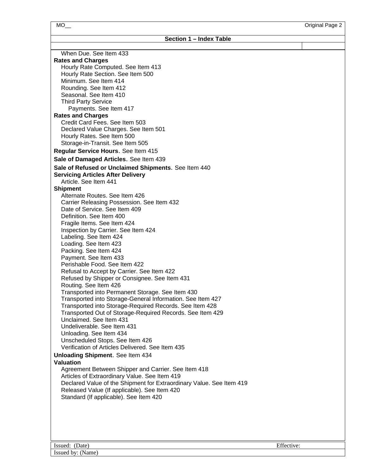| Section 1 - Index Table |  |  |
|-------------------------|--|--|
|-------------------------|--|--|

| When Due. See Item 433                                               |            |  |
|----------------------------------------------------------------------|------------|--|
| <b>Rates and Charges</b>                                             |            |  |
| Hourly Rate Computed. See Item 413                                   |            |  |
| Hourly Rate Section. See Item 500                                    |            |  |
| Minimum. See Item 414                                                |            |  |
| Rounding. See Item 412                                               |            |  |
| Seasonal. See Item 410                                               |            |  |
| <b>Third Party Service</b>                                           |            |  |
| Payments. See Item 417                                               |            |  |
| <b>Rates and Charges</b><br>Credit Card Fees. See Item 503           |            |  |
| Declared Value Charges. See Item 501                                 |            |  |
| Hourly Rates. See Item 500                                           |            |  |
|                                                                      |            |  |
| Storage-in-Transit. See Item 505                                     |            |  |
| Regular Service Hours. See Item 415                                  |            |  |
| Sale of Damaged Articles. See Item 439                               |            |  |
| Sale of Refused or Unclaimed Shipments. See Item 440                 |            |  |
| <b>Servicing Articles After Delivery</b>                             |            |  |
| Article. See Item 441                                                |            |  |
| <b>Shipment</b>                                                      |            |  |
| Alternate Routes. See Item 426                                       |            |  |
| Carrier Releasing Possession. See Item 432                           |            |  |
| Date of Service. See Item 409                                        |            |  |
| Definition. See Item 400                                             |            |  |
| Fragile Items. See Item 424                                          |            |  |
| Inspection by Carrier. See Item 424                                  |            |  |
| Labeling. See Item 424                                               |            |  |
| Loading. See Item 423                                                |            |  |
| Packing. See Item 424                                                |            |  |
| Payment. See Item 433                                                |            |  |
| Perishable Food. See Item 422                                        |            |  |
| Refusal to Accept by Carrier. See Item 422                           |            |  |
| Refused by Shipper or Consignee. See Item 431                        |            |  |
| Routing. See Item 426                                                |            |  |
| Transported into Permanent Storage. See Item 430                     |            |  |
| Transported into Storage-General Information. See Item 427           |            |  |
| Transported into Storage-Required Records. See Item 428              |            |  |
| Transported Out of Storage-Required Records. See Item 429            |            |  |
| Unclaimed. See Item 431                                              |            |  |
| Undeliverable. See Item 431                                          |            |  |
| Unloading. See Item 434                                              |            |  |
| Unscheduled Stops. See Item 426                                      |            |  |
| Verification of Articles Delivered. See Item 435                     |            |  |
| <b>Unloading Shipment.</b> See Item 434                              |            |  |
| <b>Valuation</b>                                                     |            |  |
| Agreement Between Shipper and Carrier. See Item 418                  |            |  |
| Articles of Extraordinary Value. See Item 419                        |            |  |
| Declared Value of the Shipment for Extraordinary Value. See Item 419 |            |  |
| Released Value (If applicable). See Item 420                         |            |  |
| Standard (If applicable). See Item 420                               |            |  |
|                                                                      |            |  |
|                                                                      |            |  |
|                                                                      |            |  |
|                                                                      |            |  |
|                                                                      |            |  |
|                                                                      |            |  |
| Issued: (Date)                                                       | Effective: |  |
| Issued by: (Name)                                                    |            |  |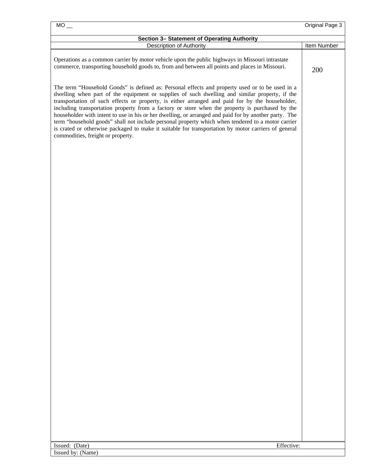| Section 3- Statement of Operating Authority<br>Description of Authority<br>Operations as a common carrier by motor vehicle upon the public highways in Missouri intrastate<br>commerce, transporting household goods to, from and between all points and places in Missouri.<br>The term "Household Goods" is defined as: Personal effects and property used or to be used in a<br>dwelling when part of the equipment or supplies of such dwelling and similar property, if the<br>transportation of such effects or property, is either arranged and paid for by the householder,<br>including transportation property from a factory or store when the property is purchased by the<br>householder with intent to use in his or her dwelling, or arranged and paid for by another party. The<br>term "household goods" shall not include personal property which when tendered to a motor carrier<br>is crated or otherwise packaged to make it suitable for transportation by motor carriers of general<br>commodities, freight or property. |             |
|--------------------------------------------------------------------------------------------------------------------------------------------------------------------------------------------------------------------------------------------------------------------------------------------------------------------------------------------------------------------------------------------------------------------------------------------------------------------------------------------------------------------------------------------------------------------------------------------------------------------------------------------------------------------------------------------------------------------------------------------------------------------------------------------------------------------------------------------------------------------------------------------------------------------------------------------------------------------------------------------------------------------------------------------------|-------------|
|                                                                                                                                                                                                                                                                                                                                                                                                                                                                                                                                                                                                                                                                                                                                                                                                                                                                                                                                                                                                                                                  |             |
|                                                                                                                                                                                                                                                                                                                                                                                                                                                                                                                                                                                                                                                                                                                                                                                                                                                                                                                                                                                                                                                  | Item Number |
|                                                                                                                                                                                                                                                                                                                                                                                                                                                                                                                                                                                                                                                                                                                                                                                                                                                                                                                                                                                                                                                  | 200         |
|                                                                                                                                                                                                                                                                                                                                                                                                                                                                                                                                                                                                                                                                                                                                                                                                                                                                                                                                                                                                                                                  |             |
|                                                                                                                                                                                                                                                                                                                                                                                                                                                                                                                                                                                                                                                                                                                                                                                                                                                                                                                                                                                                                                                  |             |
|                                                                                                                                                                                                                                                                                                                                                                                                                                                                                                                                                                                                                                                                                                                                                                                                                                                                                                                                                                                                                                                  |             |
| Effective:<br>Issued: (Date)                                                                                                                                                                                                                                                                                                                                                                                                                                                                                                                                                                                                                                                                                                                                                                                                                                                                                                                                                                                                                     |             |
| Issued by: (Name)                                                                                                                                                                                                                                                                                                                                                                                                                                                                                                                                                                                                                                                                                                                                                                                                                                                                                                                                                                                                                                |             |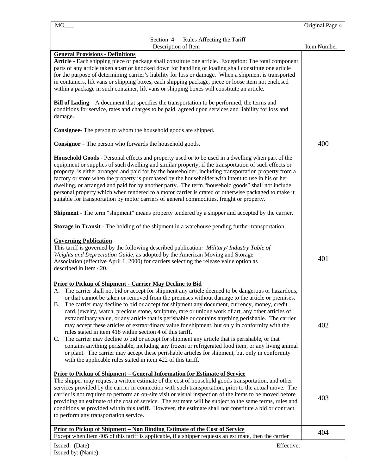|                                                                                                                                                                                                                                                                                                                                                                                                                                                                                                                                                                                                                                                                                                                                                                                                                                                                                                                                                                                                                                                                                                                                               | Original Page 4 |
|-----------------------------------------------------------------------------------------------------------------------------------------------------------------------------------------------------------------------------------------------------------------------------------------------------------------------------------------------------------------------------------------------------------------------------------------------------------------------------------------------------------------------------------------------------------------------------------------------------------------------------------------------------------------------------------------------------------------------------------------------------------------------------------------------------------------------------------------------------------------------------------------------------------------------------------------------------------------------------------------------------------------------------------------------------------------------------------------------------------------------------------------------|-----------------|
| Section 4 – Rules Affecting the Tariff                                                                                                                                                                                                                                                                                                                                                                                                                                                                                                                                                                                                                                                                                                                                                                                                                                                                                                                                                                                                                                                                                                        |                 |
| Description of Item                                                                                                                                                                                                                                                                                                                                                                                                                                                                                                                                                                                                                                                                                                                                                                                                                                                                                                                                                                                                                                                                                                                           | Item Number     |
| <b>General Provisions - Definitions</b><br>Article - Each shipping piece or package shall constitute one article. Exception: The total component<br>parts of any article taken apart or knocked down for handling or loading shall constitute one article<br>for the purpose of determining carrier's liability for loss or damage. When a shipment is transported<br>in containers, lift vans or shipping boxes, each shipping package, piece or loose item not enclosed<br>within a package in such container, lift vans or shipping boxes will constitute an article.<br><b>Bill of Lading</b> – A document that specifies the transportation to be performed, the terms and<br>conditions for service, rates and charges to be paid, agreed upon services and liability for loss and<br>damage.                                                                                                                                                                                                                                                                                                                                           |                 |
| Consignee- The person to whom the household goods are shipped.                                                                                                                                                                                                                                                                                                                                                                                                                                                                                                                                                                                                                                                                                                                                                                                                                                                                                                                                                                                                                                                                                |                 |
| <b>Consignor</b> – The person who forwards the household goods.                                                                                                                                                                                                                                                                                                                                                                                                                                                                                                                                                                                                                                                                                                                                                                                                                                                                                                                                                                                                                                                                               | 400             |
| Household Goods - Personal effects and property used or to be used in a dwelling when part of the<br>equipment or supplies of such dwelling and similar property, if the transportation of such effects or<br>property, is either arranged and paid for by the householder, including transportation property from a<br>factory or store when the property is purchased by the householder with intent to use in his or her<br>dwelling, or arranged and paid for by another party. The term "household goods" shall not include<br>personal property which when tendered to a motor carrier is crated or otherwise packaged to make it<br>suitable for transportation by motor carriers of general commodities, freight or property.                                                                                                                                                                                                                                                                                                                                                                                                         |                 |
| <b>Shipment</b> - The term "shipment" means property tendered by a shipper and accepted by the carrier.                                                                                                                                                                                                                                                                                                                                                                                                                                                                                                                                                                                                                                                                                                                                                                                                                                                                                                                                                                                                                                       |                 |
| Storage in Transit - The holding of the shipment in a warehouse pending further transportation.                                                                                                                                                                                                                                                                                                                                                                                                                                                                                                                                                                                                                                                                                                                                                                                                                                                                                                                                                                                                                                               |                 |
| <b>Governing Publication</b><br>This tariff is governed by the following described publication: Military/Industry Table of<br>Weights and Depreciation Guide, as adopted by the American Moving and Storage<br>Association (effective April 1, 2000) for carriers selecting the release value option as<br>described in Item 420.                                                                                                                                                                                                                                                                                                                                                                                                                                                                                                                                                                                                                                                                                                                                                                                                             | 401             |
| <b>Prior to Pickup of Shipment - Carrier May Decline to Bid</b><br>The carrier shall not bid or accept for shipment any article deemed to be dangerous or hazardous,<br>A<br>or that cannot be taken or removed from the premises without damage to the article or premises.<br>The carrier may decline to bid or accept for shipment any document, currency, money, credit<br>В.<br>card, jewelry, watch, precious stone, sculpture, rare or unique work of art, any other articles of<br>extraordinary value, or any article that is perishable or contains anything perishable. The carrier<br>may accept these articles of extraordinary value for shipment, but only in conformity with the<br>rules stated in item 418 within section 4 of this tariff.<br>The carrier may decline to bid or accept for shipment any article that is perishable, or that<br>C.<br>contains anything perishable, including any frozen or refrigerated food item, or any living animal<br>or plant. The carrier may accept these perishable articles for shipment, but only in conformity<br>with the applicable rules stated in item 422 of this tariff. | 402             |
| Prior to Pickup of Shipment - General Information for Estimate of Service<br>The shipper may request a written estimate of the cost of household goods transportation, and other<br>services provided by the carrier in connection with such transportation, prior to the actual move. The<br>carrier is not required to perform an on-site visit or visual inspection of the items to be moved before<br>providing an estimate of the cost of service. The estimate will be subject to the same terms, rules and<br>conditions as provided within this tariff. However, the estimate shall not constitute a bid or contract<br>to perform any transportation service.                                                                                                                                                                                                                                                                                                                                                                                                                                                                        | 403             |
| <u>Prior to Pickup of Shipment – Non Binding Estimate of the Cost of Service</u><br>Except when Item 405 of this tariff is applicable, if a shipper requests an estimate, then the carrier                                                                                                                                                                                                                                                                                                                                                                                                                                                                                                                                                                                                                                                                                                                                                                                                                                                                                                                                                    | 404             |
| Issued: (Date)<br>Effective:                                                                                                                                                                                                                                                                                                                                                                                                                                                                                                                                                                                                                                                                                                                                                                                                                                                                                                                                                                                                                                                                                                                  |                 |
| Issued by: (Name)                                                                                                                                                                                                                                                                                                                                                                                                                                                                                                                                                                                                                                                                                                                                                                                                                                                                                                                                                                                                                                                                                                                             |                 |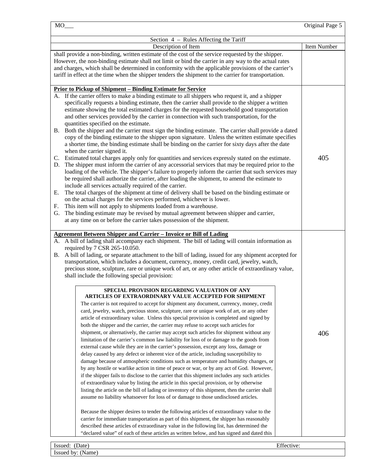| $MO$ <sub>_</sub>                                                                                                                                                                                                                                                                                                                                                                                                                                                                                                                                                                                                                                                                                                                                                                                                                                                                                                                                                                                                                                                                                                                                                                                                                                                                                                                                                                                                                                                                                                                                                                                                                                                                                                                                                                                                                                                                                                                                                                                                                                                                                                                                                                                                                                                                                                                                                                                                   | Original Page 5 |
|---------------------------------------------------------------------------------------------------------------------------------------------------------------------------------------------------------------------------------------------------------------------------------------------------------------------------------------------------------------------------------------------------------------------------------------------------------------------------------------------------------------------------------------------------------------------------------------------------------------------------------------------------------------------------------------------------------------------------------------------------------------------------------------------------------------------------------------------------------------------------------------------------------------------------------------------------------------------------------------------------------------------------------------------------------------------------------------------------------------------------------------------------------------------------------------------------------------------------------------------------------------------------------------------------------------------------------------------------------------------------------------------------------------------------------------------------------------------------------------------------------------------------------------------------------------------------------------------------------------------------------------------------------------------------------------------------------------------------------------------------------------------------------------------------------------------------------------------------------------------------------------------------------------------------------------------------------------------------------------------------------------------------------------------------------------------------------------------------------------------------------------------------------------------------------------------------------------------------------------------------------------------------------------------------------------------------------------------------------------------------------------------------------------------|-----------------|
| Section 4 – Rules Affecting the Tariff                                                                                                                                                                                                                                                                                                                                                                                                                                                                                                                                                                                                                                                                                                                                                                                                                                                                                                                                                                                                                                                                                                                                                                                                                                                                                                                                                                                                                                                                                                                                                                                                                                                                                                                                                                                                                                                                                                                                                                                                                                                                                                                                                                                                                                                                                                                                                                              |                 |
| Description of Item                                                                                                                                                                                                                                                                                                                                                                                                                                                                                                                                                                                                                                                                                                                                                                                                                                                                                                                                                                                                                                                                                                                                                                                                                                                                                                                                                                                                                                                                                                                                                                                                                                                                                                                                                                                                                                                                                                                                                                                                                                                                                                                                                                                                                                                                                                                                                                                                 | Item Number     |
| shall provide a non-binding, written estimate of the cost of the service requested by the shipper.<br>However, the non-binding estimate shall not limit or bind the carrier in any way to the actual rates<br>and charges, which shall be determined in conformity with the applicable provisions of the carrier's<br>tariff in effect at the time when the shipper tenders the shipment to the carrier for transportation.                                                                                                                                                                                                                                                                                                                                                                                                                                                                                                                                                                                                                                                                                                                                                                                                                                                                                                                                                                                                                                                                                                                                                                                                                                                                                                                                                                                                                                                                                                                                                                                                                                                                                                                                                                                                                                                                                                                                                                                         |                 |
| <u>Prior to Pickup of Shipment – Binding Estimate for Service</u><br>A. If the carrier offers to make a binding estimate to all shippers who request it, and a shipper<br>specifically requests a binding estimate, then the carrier shall provide to the shipper a written<br>estimate showing the total estimated charges for the requested household good transportation<br>and other services provided by the carrier in connection with such transportation, for the<br>quantities specified on the estimate.<br>B. Both the shipper and the carrier must sign the binding estimate. The carrier shall provide a dated<br>copy of the binding estimate to the shipper upon signature. Unless the written estimate specifies<br>a shorter time, the binding estimate shall be binding on the carrier for sixty days after the date<br>when the carrier signed it.<br>C. Estimated total charges apply only for quantities and services expressly stated on the estimate.<br>The shipper must inform the carrier of any accessorial services that may be required prior to the<br>D.<br>loading of the vehicle. The shipper's failure to properly inform the carrier that such services may<br>be required shall authorize the carrier, after loading the shipment, to amend the estimate to<br>include all services actually required of the carrier.<br>The total charges of the shipment at time of delivery shall be based on the binding estimate or<br>Е.<br>on the actual charges for the services performed, whichever is lower.<br>This item will not apply to shipments loaded from a warehouse.<br>F.<br>The binding estimate may be revised by mutual agreement between shipper and carrier,<br>G.<br>at any time on or before the carrier takes possession of the shipment.                                                                                                                                                                                                                                                                                                                                                                                                                                                                                                                                                                                                                         | 405             |
| <b>Agreement Between Shipper and Carrier - Invoice or Bill of Lading</b><br>A. A bill of lading shall accompany each shipment. The bill of lading will contain information as<br>required by 7 CSR 265-10.050.<br>B. A bill of lading, or separate attachment to the bill of lading, issued for any shipment accepted for<br>transportation, which includes a document, currency, money, credit card, jewelry, watch,<br>precious stone, sculpture, rare or unique work of art, or any other article of extraordinary value,<br>shall include the following special provision:<br>SPECIAL PROVISION REGARDING VALUATION OF ANY<br>ARTICLES OF EXTRAORDINARY VALUE ACCEPTED FOR SHIPMENT<br>The carrier is not required to accept for shipment any document, currency, money, credit<br>card, jewelry, watch, precious stone, sculpture, rare or unique work of art, or any other<br>article of extraordinary value. Unless this special provision is completed and signed by<br>both the shipper and the carrier, the carrier may refuse to accept such articles for<br>shipment, or alternatively, the carrier may accept such articles for shipment without any<br>limitation of the carrier's common law liability for loss of or damage to the goods from<br>external cause while they are in the carrier's possession, except any loss, damage or<br>delay caused by any defect or inherent vice of the article, including susceptibility to<br>damage because of atmospheric conditions such as temperature and humidity changes, or<br>by any hostile or warlike action in time of peace or war, or by any act of God. However,<br>if the shipper fails to disclose to the carrier that this shipment includes any such articles<br>of extraordinary value by listing the article in this special provision, or by otherwise<br>listing the article on the bill of lading or inventory of this shipment, then the carrier shall<br>assume no liability whatsoever for loss of or damage to those undisclosed articles.<br>Because the shipper desires to tender the following articles of extraordinary value to the<br>carrier for immediate transportation as part of this shipment, the shipper has reasonably<br>described these articles of extraordinary value in the following list, has determined the<br>"declared value" of each of these articles as written below, and has signed and dated this | 406             |
| Effective:<br>Issued: (Date)                                                                                                                                                                                                                                                                                                                                                                                                                                                                                                                                                                                                                                                                                                                                                                                                                                                                                                                                                                                                                                                                                                                                                                                                                                                                                                                                                                                                                                                                                                                                                                                                                                                                                                                                                                                                                                                                                                                                                                                                                                                                                                                                                                                                                                                                                                                                                                                        |                 |

Issued by: (Name)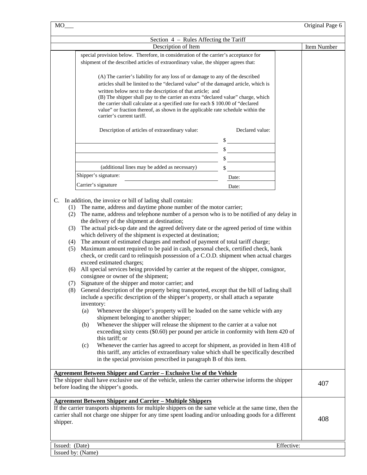| MO             |                                                                                                                                                                                                                                                                                                                                                                                                                                                                                                                                                                                                                                                                                                                                                                                                                                                                                                                                                                                                                                                                                                                                                                                                                                                                                           |                 | Original Page 6 |
|----------------|-------------------------------------------------------------------------------------------------------------------------------------------------------------------------------------------------------------------------------------------------------------------------------------------------------------------------------------------------------------------------------------------------------------------------------------------------------------------------------------------------------------------------------------------------------------------------------------------------------------------------------------------------------------------------------------------------------------------------------------------------------------------------------------------------------------------------------------------------------------------------------------------------------------------------------------------------------------------------------------------------------------------------------------------------------------------------------------------------------------------------------------------------------------------------------------------------------------------------------------------------------------------------------------------|-----------------|-----------------|
|                | Section 4 – Rules Affecting the Tariff                                                                                                                                                                                                                                                                                                                                                                                                                                                                                                                                                                                                                                                                                                                                                                                                                                                                                                                                                                                                                                                                                                                                                                                                                                                    |                 |                 |
|                | Description of Item                                                                                                                                                                                                                                                                                                                                                                                                                                                                                                                                                                                                                                                                                                                                                                                                                                                                                                                                                                                                                                                                                                                                                                                                                                                                       |                 | Item Number     |
|                | special provision below. Therefore, in consideration of the carrier's acceptance for                                                                                                                                                                                                                                                                                                                                                                                                                                                                                                                                                                                                                                                                                                                                                                                                                                                                                                                                                                                                                                                                                                                                                                                                      |                 |                 |
|                | shipment of the described articles of extraordinary value, the shipper agrees that:                                                                                                                                                                                                                                                                                                                                                                                                                                                                                                                                                                                                                                                                                                                                                                                                                                                                                                                                                                                                                                                                                                                                                                                                       |                 |                 |
|                | (A) The carrier's liability for any loss of or damage to any of the described<br>articles shall be limited to the "declared value" of the damaged article, which is                                                                                                                                                                                                                                                                                                                                                                                                                                                                                                                                                                                                                                                                                                                                                                                                                                                                                                                                                                                                                                                                                                                       |                 |                 |
|                | written below next to the description of that article; and                                                                                                                                                                                                                                                                                                                                                                                                                                                                                                                                                                                                                                                                                                                                                                                                                                                                                                                                                                                                                                                                                                                                                                                                                                |                 |                 |
|                | (B) The shipper shall pay to the carrier an extra "declared value" charge, which<br>the carrier shall calculate at a specified rate for each \$ 100.00 of "declared<br>value" or fraction thereof, as shown in the applicable rate schedule within the<br>carrier's current tariff.                                                                                                                                                                                                                                                                                                                                                                                                                                                                                                                                                                                                                                                                                                                                                                                                                                                                                                                                                                                                       |                 |                 |
|                | Description of articles of extraordinary value:                                                                                                                                                                                                                                                                                                                                                                                                                                                                                                                                                                                                                                                                                                                                                                                                                                                                                                                                                                                                                                                                                                                                                                                                                                           | Declared value: |                 |
|                |                                                                                                                                                                                                                                                                                                                                                                                                                                                                                                                                                                                                                                                                                                                                                                                                                                                                                                                                                                                                                                                                                                                                                                                                                                                                                           |                 |                 |
|                |                                                                                                                                                                                                                                                                                                                                                                                                                                                                                                                                                                                                                                                                                                                                                                                                                                                                                                                                                                                                                                                                                                                                                                                                                                                                                           |                 |                 |
|                |                                                                                                                                                                                                                                                                                                                                                                                                                                                                                                                                                                                                                                                                                                                                                                                                                                                                                                                                                                                                                                                                                                                                                                                                                                                                                           |                 |                 |
|                | (additional lines may be added as necessary)                                                                                                                                                                                                                                                                                                                                                                                                                                                                                                                                                                                                                                                                                                                                                                                                                                                                                                                                                                                                                                                                                                                                                                                                                                              |                 |                 |
|                | Shipper's signature:                                                                                                                                                                                                                                                                                                                                                                                                                                                                                                                                                                                                                                                                                                                                                                                                                                                                                                                                                                                                                                                                                                                                                                                                                                                                      | Date:           |                 |
|                | Carrier's signature                                                                                                                                                                                                                                                                                                                                                                                                                                                                                                                                                                                                                                                                                                                                                                                                                                                                                                                                                                                                                                                                                                                                                                                                                                                                       | Date:           |                 |
|                |                                                                                                                                                                                                                                                                                                                                                                                                                                                                                                                                                                                                                                                                                                                                                                                                                                                                                                                                                                                                                                                                                                                                                                                                                                                                                           |                 |                 |
| (5)<br>(6)     | The amount of estimated charges and method of payment of total tariff charge;<br>Maximum amount required to be paid in cash, personal check, certified check, bank<br>check, or credit card to relinquish possession of a C.O.D. shipment when actual charges<br>exceed estimated charges;<br>All special services being provided by carrier at the request of the shipper, consignor,<br>consignee or owner of the shipment;<br>(7) Signature of the shipper and motor carrier; and<br>(8) General description of the property being transported, except that the bill of lading shall<br>include a specific description of the shipper's property, or shall attach a separate<br>inventory:<br>(a)<br>Whenever the shipper's property will be loaded on the same vehicle with any<br>shipment belonging to another shipper;<br>Whenever the shipper will release the shipment to the carrier at a value not<br>(b)<br>exceeding sixty cents (\$0.60) per pound per article in conformity with Item 420 of<br>this tariff; or<br>Whenever the carrier has agreed to accept for shipment, as provided in Item 418 of<br>(c)<br>this tariff, any articles of extraordinary value which shall be specifically described<br>in the special provision prescribed in paragraph B of this item. |                 |                 |
|                | <b>Agreement Between Shipper and Carrier - Exclusive Use of the Vehicle</b><br>The shipper shall have exclusive use of the vehicle, unless the carrier otherwise informs the shipper<br>before loading the shipper's goods.                                                                                                                                                                                                                                                                                                                                                                                                                                                                                                                                                                                                                                                                                                                                                                                                                                                                                                                                                                                                                                                               |                 | 407             |
| shipper.       | <b>Agreement Between Shipper and Carrier - Multiple Shippers</b><br>If the carrier transports shipments for multiple shippers on the same vehicle at the same time, then the<br>carrier shall not charge one shipper for any time spent loading and/or unloading goods for a different                                                                                                                                                                                                                                                                                                                                                                                                                                                                                                                                                                                                                                                                                                                                                                                                                                                                                                                                                                                                    |                 | 408             |
|                |                                                                                                                                                                                                                                                                                                                                                                                                                                                                                                                                                                                                                                                                                                                                                                                                                                                                                                                                                                                                                                                                                                                                                                                                                                                                                           |                 |                 |
| Issued: (Date) | Issued by: (Name)                                                                                                                                                                                                                                                                                                                                                                                                                                                                                                                                                                                                                                                                                                                                                                                                                                                                                                                                                                                                                                                                                                                                                                                                                                                                         | Effective:      |                 |
|                |                                                                                                                                                                                                                                                                                                                                                                                                                                                                                                                                                                                                                                                                                                                                                                                                                                                                                                                                                                                                                                                                                                                                                                                                                                                                                           |                 |                 |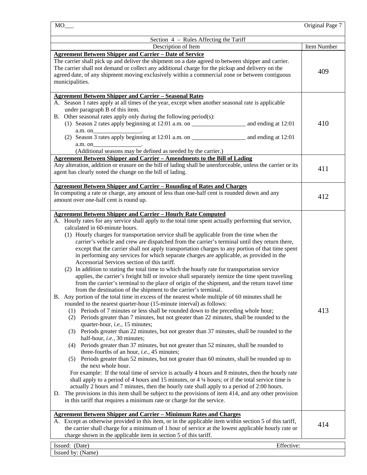|                                                                                                                                                                                                                                                                                                                                                                                                                                                                                                                                                                                                                                                                                                                                                                                                                                                                                                                                                                                                                                                                                                                                                                                                                                                                                                                                                                                                                                                                                                                                                                                                                                                                                                                                                                                                                                                                                                                                                                                                                                                                                                                                                                                                                                                                                                                                                                       | Original Page 7 |
|-----------------------------------------------------------------------------------------------------------------------------------------------------------------------------------------------------------------------------------------------------------------------------------------------------------------------------------------------------------------------------------------------------------------------------------------------------------------------------------------------------------------------------------------------------------------------------------------------------------------------------------------------------------------------------------------------------------------------------------------------------------------------------------------------------------------------------------------------------------------------------------------------------------------------------------------------------------------------------------------------------------------------------------------------------------------------------------------------------------------------------------------------------------------------------------------------------------------------------------------------------------------------------------------------------------------------------------------------------------------------------------------------------------------------------------------------------------------------------------------------------------------------------------------------------------------------------------------------------------------------------------------------------------------------------------------------------------------------------------------------------------------------------------------------------------------------------------------------------------------------------------------------------------------------------------------------------------------------------------------------------------------------------------------------------------------------------------------------------------------------------------------------------------------------------------------------------------------------------------------------------------------------------------------------------------------------------------------------------------------------|-----------------|
| Section 4 – Rules Affecting the Tariff                                                                                                                                                                                                                                                                                                                                                                                                                                                                                                                                                                                                                                                                                                                                                                                                                                                                                                                                                                                                                                                                                                                                                                                                                                                                                                                                                                                                                                                                                                                                                                                                                                                                                                                                                                                                                                                                                                                                                                                                                                                                                                                                                                                                                                                                                                                                |                 |
| Description of Item                                                                                                                                                                                                                                                                                                                                                                                                                                                                                                                                                                                                                                                                                                                                                                                                                                                                                                                                                                                                                                                                                                                                                                                                                                                                                                                                                                                                                                                                                                                                                                                                                                                                                                                                                                                                                                                                                                                                                                                                                                                                                                                                                                                                                                                                                                                                                   | Item Number     |
| <b>Agreement Between Shipper and Carrier - Date of Service</b>                                                                                                                                                                                                                                                                                                                                                                                                                                                                                                                                                                                                                                                                                                                                                                                                                                                                                                                                                                                                                                                                                                                                                                                                                                                                                                                                                                                                                                                                                                                                                                                                                                                                                                                                                                                                                                                                                                                                                                                                                                                                                                                                                                                                                                                                                                        |                 |
| The carrier shall pick up and deliver the shipment on a date agreed to between shipper and carrier.<br>The carrier shall not demand or collect any additional charge for the pickup and delivery on the<br>agreed date, of any shipment moving exclusively within a commercial zone or between contiguous<br>municipalities.                                                                                                                                                                                                                                                                                                                                                                                                                                                                                                                                                                                                                                                                                                                                                                                                                                                                                                                                                                                                                                                                                                                                                                                                                                                                                                                                                                                                                                                                                                                                                                                                                                                                                                                                                                                                                                                                                                                                                                                                                                          | 409             |
| <b>Agreement Between Shipper and Carrier - Seasonal Rates</b>                                                                                                                                                                                                                                                                                                                                                                                                                                                                                                                                                                                                                                                                                                                                                                                                                                                                                                                                                                                                                                                                                                                                                                                                                                                                                                                                                                                                                                                                                                                                                                                                                                                                                                                                                                                                                                                                                                                                                                                                                                                                                                                                                                                                                                                                                                         |                 |
| A. Season 1 rates apply at all times of the year, except when another seasonal rate is applicable<br>under paragraph B of this item.<br>B. Other seasonal rates apply only during the following period(s):<br>a.m. on<br>a.m. on<br>(Additional seasons may be defined as needed by the carrier.)                                                                                                                                                                                                                                                                                                                                                                                                                                                                                                                                                                                                                                                                                                                                                                                                                                                                                                                                                                                                                                                                                                                                                                                                                                                                                                                                                                                                                                                                                                                                                                                                                                                                                                                                                                                                                                                                                                                                                                                                                                                                     | 410             |
| Agreement Between Shipper and Carrier - Amendments to the Bill of Lading                                                                                                                                                                                                                                                                                                                                                                                                                                                                                                                                                                                                                                                                                                                                                                                                                                                                                                                                                                                                                                                                                                                                                                                                                                                                                                                                                                                                                                                                                                                                                                                                                                                                                                                                                                                                                                                                                                                                                                                                                                                                                                                                                                                                                                                                                              |                 |
| Any alteration, addition or erasure on the bill of lading shall be unenforceable, unless the carrier or its<br>agent has clearly noted the change on the bill of lading.                                                                                                                                                                                                                                                                                                                                                                                                                                                                                                                                                                                                                                                                                                                                                                                                                                                                                                                                                                                                                                                                                                                                                                                                                                                                                                                                                                                                                                                                                                                                                                                                                                                                                                                                                                                                                                                                                                                                                                                                                                                                                                                                                                                              | 411             |
| <b>Agreement Between Shipper and Carrier - Rounding of Rates and Charges</b><br>In computing a rate or charge, any amount of less than one-half cent is rounded down and any<br>amount over one-half cent is round up.                                                                                                                                                                                                                                                                                                                                                                                                                                                                                                                                                                                                                                                                                                                                                                                                                                                                                                                                                                                                                                                                                                                                                                                                                                                                                                                                                                                                                                                                                                                                                                                                                                                                                                                                                                                                                                                                                                                                                                                                                                                                                                                                                | 412             |
| <b>Agreement Between Shipper and Carrier - Hourly Rate Computed</b><br>A. Hourly rates for any service shall apply to the total time spent actually performing that service,<br>calculated in 60-minute hours.<br>(1) Hourly charges for transportation service shall be applicable from the time when the<br>carrier's vehicle and crew are dispatched from the carrier's terminal until they return there,<br>except that the carrier shall not apply transportation charges to any portion of that time spent<br>in performing any services for which separate charges are applicable, as provided in the<br>Accessorial Services section of this tariff.<br>(2) In addition to stating the total time to which the hourly rate for transportation service<br>applies, the carrier's freight bill or invoice shall separately itemize the time spent traveling<br>from the carrier's terminal to the place of origin of the shipment, and the return travel time<br>from the destination of the shipment to the carrier's terminal.<br>B. Any portion of the total time in excess of the nearest whole multiple of 60 minutes shall be<br>rounded to the nearest quarter-hour (15-minute interval) as follows:<br>(1) Periods of 7 minutes or less shall be rounded down to the preceding whole hour;<br>Periods greater than 7 minutes, but not greater than 22 minutes, shall be rounded to the<br>(2)<br>quarter-hour, <i>i.e.</i> , 15 minutes;<br>(3) Periods greater than 22 minutes, but not greater than 37 minutes, shall be rounded to the<br>half-hour, i.e., 30 minutes;<br>Periods greater than 37 minutes, but not greater than 52 minutes, shall be rounded to<br>(4)<br>three-fourths of an hour, i.e., 45 minutes;<br>(5) Periods greater than 52 minutes, but not greater than 60 minutes, shall be rounded up to<br>the next whole hour.<br>For example: If the total time of service is actually 4 hours and 8 minutes, then the hourly rate<br>shall apply to a period of 4 hours and 15 minutes, or $4\frac{1}{4}$ hours; or if the total service time is<br>actually 2 hours and 7 minutes, then the hourly rate shall apply to a period of 2:00 hours.<br>D. The provisions in this item shall be subject to the provisions of item 414, and any other provision<br>in this tariff that requires a minimum rate or charge for the service. | 413             |
| <b>Agreement Between Shipper and Carrier - Minimum Rates and Charges</b><br>A. Except as otherwise provided in this item, or in the applicable item within section 5 of this tariff,<br>the carrier shall charge for a minimum of 1 hour of service at the lowest applicable hourly rate or<br>charge shown in the applicable item in section 5 of this tariff.                                                                                                                                                                                                                                                                                                                                                                                                                                                                                                                                                                                                                                                                                                                                                                                                                                                                                                                                                                                                                                                                                                                                                                                                                                                                                                                                                                                                                                                                                                                                                                                                                                                                                                                                                                                                                                                                                                                                                                                                       | 414             |
| Effective:<br>Issued: (Date)                                                                                                                                                                                                                                                                                                                                                                                                                                                                                                                                                                                                                                                                                                                                                                                                                                                                                                                                                                                                                                                                                                                                                                                                                                                                                                                                                                                                                                                                                                                                                                                                                                                                                                                                                                                                                                                                                                                                                                                                                                                                                                                                                                                                                                                                                                                                          |                 |
| Issued by: (Name)                                                                                                                                                                                                                                                                                                                                                                                                                                                                                                                                                                                                                                                                                                                                                                                                                                                                                                                                                                                                                                                                                                                                                                                                                                                                                                                                                                                                                                                                                                                                                                                                                                                                                                                                                                                                                                                                                                                                                                                                                                                                                                                                                                                                                                                                                                                                                     |                 |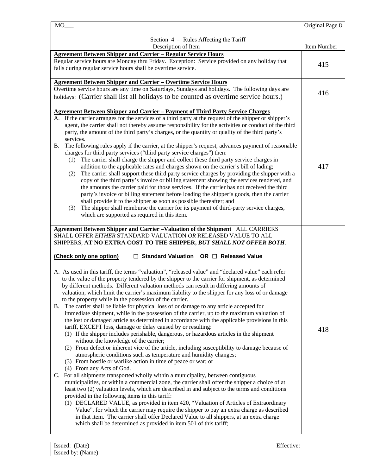| $MO$ <sub>___</sub>                                                                                                                                                                                                                                                                                                                                                                                                                                                                                                                                                                                                                                                                                                                                                                                                                                                                                                                                                                                                                                                                                                                                                                                                                                                                                                                                                                                                                                                                                                                                                                                                                                                                                                                                                                                                                                                                                                                                                                                                                                                                                                                                                                                                                               | Original Page 8 |
|---------------------------------------------------------------------------------------------------------------------------------------------------------------------------------------------------------------------------------------------------------------------------------------------------------------------------------------------------------------------------------------------------------------------------------------------------------------------------------------------------------------------------------------------------------------------------------------------------------------------------------------------------------------------------------------------------------------------------------------------------------------------------------------------------------------------------------------------------------------------------------------------------------------------------------------------------------------------------------------------------------------------------------------------------------------------------------------------------------------------------------------------------------------------------------------------------------------------------------------------------------------------------------------------------------------------------------------------------------------------------------------------------------------------------------------------------------------------------------------------------------------------------------------------------------------------------------------------------------------------------------------------------------------------------------------------------------------------------------------------------------------------------------------------------------------------------------------------------------------------------------------------------------------------------------------------------------------------------------------------------------------------------------------------------------------------------------------------------------------------------------------------------------------------------------------------------------------------------------------------------|-----------------|
| Section 4 – Rules Affecting the Tariff                                                                                                                                                                                                                                                                                                                                                                                                                                                                                                                                                                                                                                                                                                                                                                                                                                                                                                                                                                                                                                                                                                                                                                                                                                                                                                                                                                                                                                                                                                                                                                                                                                                                                                                                                                                                                                                                                                                                                                                                                                                                                                                                                                                                            |                 |
| Description of Item                                                                                                                                                                                                                                                                                                                                                                                                                                                                                                                                                                                                                                                                                                                                                                                                                                                                                                                                                                                                                                                                                                                                                                                                                                                                                                                                                                                                                                                                                                                                                                                                                                                                                                                                                                                                                                                                                                                                                                                                                                                                                                                                                                                                                               | Item Number     |
| <b>Agreement Between Shipper and Carrier - Regular Service Hours</b><br>Regular service hours are Monday thru Friday. Exception: Service provided on any holiday that<br>falls during regular service hours shall be overtime service.                                                                                                                                                                                                                                                                                                                                                                                                                                                                                                                                                                                                                                                                                                                                                                                                                                                                                                                                                                                                                                                                                                                                                                                                                                                                                                                                                                                                                                                                                                                                                                                                                                                                                                                                                                                                                                                                                                                                                                                                            | 415             |
| <b>Agreement Between Shipper and Carrier - Overtime Service Hours</b><br>Overtime service hours are any time on Saturdays, Sundays and holidays. The following days are<br>holidays: (Carrier shall list all holidays to be counted as overtime service hours.)                                                                                                                                                                                                                                                                                                                                                                                                                                                                                                                                                                                                                                                                                                                                                                                                                                                                                                                                                                                                                                                                                                                                                                                                                                                                                                                                                                                                                                                                                                                                                                                                                                                                                                                                                                                                                                                                                                                                                                                   | 416             |
| <b>Agreement Between Shipper and Carrier - Payment of Third Party Service Charges</b><br>A. If the carrier arranges for the services of a third party at the request of the shipper or shipper's<br>agent, the carrier shall not thereby assume responsibility for the activities or conduct of the third<br>party, the amount of the third party's charges, or the quantity or quality of the third party's<br>services.<br>The following rules apply if the carrier, at the shipper's request, advances payment of reasonable<br>В.<br>charges for third party services ("third party service charges") then:<br>(1) The carrier shall charge the shipper and collect these third party service charges in<br>addition to the applicable rates and charges shown on the carrier's bill of lading;<br>The carrier shall support these third party service charges by providing the shipper with a<br>(2)<br>copy of the third party's invoice or billing statement showing the services rendered, and<br>the amounts the carrier paid for those services. If the carrier has not received the third<br>party's invoice or billing statement before loading the shipper's goods, then the carrier<br>shall provide it to the shipper as soon as possible thereafter; and<br>The shipper shall reimburse the carrier for its payment of third-party service charges,<br>(3)<br>which are supported as required in this item.                                                                                                                                                                                                                                                                                                                                                                                                                                                                                                                                                                                                                                                                                                                                                                                                                       | 417             |
| Agreement Between Shipper and Carrier -Valuation of the Shipment ALL CARRIERS<br>SHALL OFFER EITHER STANDARD VALUATION OR RELEASED VALUE TO ALL<br>SHIPPERS, AT NO EXTRA COST TO THE SHIPPER, BUT SHALL NOT OFFER BOTH.<br>(Check only one option)<br>$\Box$ Standard Valuation OR $\Box$ Released Value<br>A. As used in this tariff, the terms "valuation", "released value" and "declared value" each refer<br>to the value of the property tendered by the shipper to the carrier for shipment, as determined<br>by different methods. Different valuation methods can result in differing amounts of<br>valuation, which limit the carrier's maximum liability to the shipper for any loss of or damage<br>to the property while in the possession of the carrier.<br>B. The carrier shall be liable for physical loss of or damage to any article accepted for<br>immediate shipment, while in the possession of the carrier, up to the maximum valuation of<br>the lost or damaged article as determined in accordance with the applicable provisions in this<br>tariff, EXCEPT loss, damage or delay caused by or resulting:<br>(1) If the shipper includes perishable, dangerous, or hazardous articles in the shipment<br>without the knowledge of the carrier;<br>(2) From defect or inherent vice of the article, including susceptibility to damage because of<br>atmospheric conditions such as temperature and humidity changes;<br>(3) From hostile or warlike action in time of peace or war; or<br>(4) From any Acts of God.<br>C. For all shipments transported wholly within a municipality, between contiguous<br>municipalities, or within a commercial zone, the carrier shall offer the shipper a choice of at<br>least two (2) valuation levels, which are described in and subject to the terms and conditions<br>provided in the following items in this tariff:<br>(1) DECLARED VALUE, as provided in item 420, "Valuation of Articles of Extraordinary<br>Value", for which the carrier may require the shipper to pay an extra charge as described<br>in that item. The carrier shall offer Declared Value to all shippers, at an extra charge<br>which shall be determined as provided in item 501 of this tariff; | 418             |
| Issued: (Date)<br>Effective:                                                                                                                                                                                                                                                                                                                                                                                                                                                                                                                                                                                                                                                                                                                                                                                                                                                                                                                                                                                                                                                                                                                                                                                                                                                                                                                                                                                                                                                                                                                                                                                                                                                                                                                                                                                                                                                                                                                                                                                                                                                                                                                                                                                                                      |                 |

Issued by: (Name)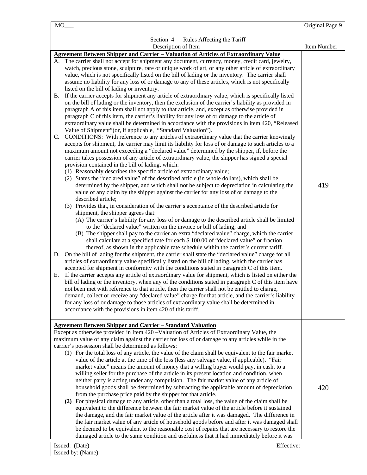|                                                                                                                                                                                                                                                                                                                                                                                                                                                                                                                                                                                                                                                                                                                                                                                                                                                                                                                                                                                                                                                                                                                                                                                                                                                                                                                                                                                                                                                                                                                                                                                                                                                                                                                                                                                                                                                                                                                                                                                                                                                                                                                                                                                                                                                                                                                                                                                                                                                                                                                                                                                                                                                                                                                                                                                                                                                                                                                                                                                                                                                                                                                                                                                                                                                                                                                                                                                                                                                                                                                                                                       | Original Page 9    |
|-----------------------------------------------------------------------------------------------------------------------------------------------------------------------------------------------------------------------------------------------------------------------------------------------------------------------------------------------------------------------------------------------------------------------------------------------------------------------------------------------------------------------------------------------------------------------------------------------------------------------------------------------------------------------------------------------------------------------------------------------------------------------------------------------------------------------------------------------------------------------------------------------------------------------------------------------------------------------------------------------------------------------------------------------------------------------------------------------------------------------------------------------------------------------------------------------------------------------------------------------------------------------------------------------------------------------------------------------------------------------------------------------------------------------------------------------------------------------------------------------------------------------------------------------------------------------------------------------------------------------------------------------------------------------------------------------------------------------------------------------------------------------------------------------------------------------------------------------------------------------------------------------------------------------------------------------------------------------------------------------------------------------------------------------------------------------------------------------------------------------------------------------------------------------------------------------------------------------------------------------------------------------------------------------------------------------------------------------------------------------------------------------------------------------------------------------------------------------------------------------------------------------------------------------------------------------------------------------------------------------------------------------------------------------------------------------------------------------------------------------------------------------------------------------------------------------------------------------------------------------------------------------------------------------------------------------------------------------------------------------------------------------------------------------------------------------------------------------------------------------------------------------------------------------------------------------------------------------------------------------------------------------------------------------------------------------------------------------------------------------------------------------------------------------------------------------------------------------------------------------------------------------------------------------------------------------|--------------------|
| Section 4 - Rules Affecting the Tariff                                                                                                                                                                                                                                                                                                                                                                                                                                                                                                                                                                                                                                                                                                                                                                                                                                                                                                                                                                                                                                                                                                                                                                                                                                                                                                                                                                                                                                                                                                                                                                                                                                                                                                                                                                                                                                                                                                                                                                                                                                                                                                                                                                                                                                                                                                                                                                                                                                                                                                                                                                                                                                                                                                                                                                                                                                                                                                                                                                                                                                                                                                                                                                                                                                                                                                                                                                                                                                                                                                                                |                    |
|                                                                                                                                                                                                                                                                                                                                                                                                                                                                                                                                                                                                                                                                                                                                                                                                                                                                                                                                                                                                                                                                                                                                                                                                                                                                                                                                                                                                                                                                                                                                                                                                                                                                                                                                                                                                                                                                                                                                                                                                                                                                                                                                                                                                                                                                                                                                                                                                                                                                                                                                                                                                                                                                                                                                                                                                                                                                                                                                                                                                                                                                                                                                                                                                                                                                                                                                                                                                                                                                                                                                                                       |                    |
| Description of Item<br><b>Agreement Between Shipper and Carrier - Valuation of Articles of Extraordinary Value</b><br>A. The carrier shall not accept for shipment any document, currency, money, credit card, jewelry,<br>watch, precious stone, sculpture, rare or unique work of art, or any other article of extraordinary<br>value, which is not specifically listed on the bill of lading or the inventory. The carrier shall<br>assume no liability for any loss of or damage to any of these articles, which is not specifically<br>listed on the bill of lading or inventory.<br>If the carrier accepts for shipment any article of extraordinary value, which is specifically listed<br><b>B.</b><br>on the bill of lading or the inventory, then the exclusion of the carrier's liability as provided in<br>paragraph A of this item shall not apply to that article, and, except as otherwise provided in<br>paragraph C of this item, the carrier's liability for any loss of or damage to the article of<br>extraordinary value shall be determined in accordance with the provisions in item 420, "Released<br>Value of Shipment"(or, if applicable, "Standard Valuation").<br>CONDITIONS: With reference to any articles of extraordinary value that the carrier knowingly<br>C.<br>accepts for shipment, the carrier may limit its liability for loss of or damage to such articles to a<br>maximum amount not exceeding a "declared value" determined by the shipper, if, before the<br>carrier takes possession of any article of extraordinary value, the shipper has signed a special<br>provision contained in the bill of lading, which:<br>(1) Reasonably describes the specific article of extraordinary value;<br>(2) States the "declared value" of the described article (in whole dollars), which shall be<br>determined by the shipper, and which shall not be subject to depreciation in calculating the<br>value of any claim by the shipper against the carrier for any loss of or damage to the<br>described article;<br>(3) Provides that, in consideration of the carrier's acceptance of the described article for<br>shipment, the shipper agrees that:<br>(A) The carrier's liability for any loss of or damage to the described article shall be limited<br>to the "declared value" written on the invoice or bill of lading; and<br>(B) The shipper shall pay to the carrier an extra "declared value" charge, which the carrier<br>shall calculate at a specified rate for each \$ 100.00 of "declared value" or fraction<br>thereof, as shown in the applicable rate schedule within the carrier's current tariff.<br>D. On the bill of lading for the shipment, the carrier shall state the "declared value" charge for all<br>articles of extraordinary value specifically listed on the bill of lading, which the carrier has<br>accepted for shipment in conformity with the conditions stated in paragraph C of this item.<br>If the carrier accepts any article of extraordinary value for shipment, which is listed on either the<br>Е.<br>bill of lading or the inventory, when any of the conditions stated in paragraph C of this item have<br>not been met with reference to that article, then the carrier shall not be entitled to charge,<br>demand, collect or receive any "declared value" charge for that article, and the carrier's liability<br>for any loss of or damage to those articles of extraordinary value shall be determined in<br>accordance with the provisions in item 420 of this tariff. | Item Number<br>419 |
| <b>Agreement Between Shipper and Carrier - Standard Valuation</b><br>Except as otherwise provided in Item 420 – Valuation of Articles of Extraordinary Value, the<br>maximum value of any claim against the carrier for loss of or damage to any articles while in the<br>carrier's possession shall be determined as follows:<br>(1) For the total loss of any article, the value of the claim shall be equivalent to the fair market<br>value of the article at the time of the loss (less any salvage value, if applicable). "Fair<br>market value" means the amount of money that a willing buyer would pay, in cash, to a<br>willing seller for the purchase of the article in its present location and condition, when<br>neither party is acting under any compulsion. The fair market value of any article of<br>household goods shall be determined by subtracting the applicable amount of depreciation<br>from the purchase price paid by the shipper for that article.<br>(2) For physical damage to any article, other than a total loss, the value of the claim shall be<br>equivalent to the difference between the fair market value of the article before it sustained<br>the damage, and the fair market value of the article after it was damaged. The difference in<br>the fair market value of any article of household goods before and after it was damaged shall<br>be deemed to be equivalent to the reasonable cost of repairs that are necessary to restore the<br>damaged article to the same condition and usefulness that it had immediately before it was                                                                                                                                                                                                                                                                                                                                                                                                                                                                                                                                                                                                                                                                                                                                                                                                                                                                                                                                                                                                                                                                                                                                                                                                                                                                                                                                                                                                                                                                                                                                                                                                                                                                                                                                                                                                                                                                                                                                                                              | 420                |
| Issued: (Date)                                                                                                                                                                                                                                                                                                                                                                                                                                                                                                                                                                                                                                                                                                                                                                                                                                                                                                                                                                                                                                                                                                                                                                                                                                                                                                                                                                                                                                                                                                                                                                                                                                                                                                                                                                                                                                                                                                                                                                                                                                                                                                                                                                                                                                                                                                                                                                                                                                                                                                                                                                                                                                                                                                                                                                                                                                                                                                                                                                                                                                                                                                                                                                                                                                                                                                                                                                                                                                                                                                                                                        | Effective:         |
| Issued by: (Name)                                                                                                                                                                                                                                                                                                                                                                                                                                                                                                                                                                                                                                                                                                                                                                                                                                                                                                                                                                                                                                                                                                                                                                                                                                                                                                                                                                                                                                                                                                                                                                                                                                                                                                                                                                                                                                                                                                                                                                                                                                                                                                                                                                                                                                                                                                                                                                                                                                                                                                                                                                                                                                                                                                                                                                                                                                                                                                                                                                                                                                                                                                                                                                                                                                                                                                                                                                                                                                                                                                                                                     |                    |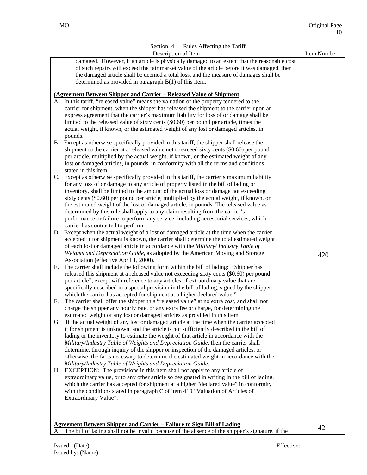| Section 4 – Rules Affecting the Tariff<br>Description of Item<br>damaged. However, if an article is physically damaged to an extent that the reasonable cost<br>of such repairs will exceed the fair market value of the article before it was damaged, then<br>the damaged article shall be deemed a total loss, and the measure of damages shall be<br>determined as provided in paragraph $B(1)$ of this item.<br>(Agreement Between Shipper and Carrier - Released Value of Shipment<br>A. In this tariff, "released value" means the valuation of the property tendered to the<br>carrier for shipment, when the shipper has released the shipment to the carrier upon an<br>express agreement that the carrier's maximum liability for loss of or damage shall be<br>limited to the released value of sixty cents (\$0.60) per pound per article, times the<br>actual weight, if known, or the estimated weight of any lost or damaged articles, in<br>pounds.<br>B. Except as otherwise specifically provided in this tariff, the shipper shall release the<br>shipment to the carrier at a released value not to exceed sixty cents (\$0.60) per pound<br>per article, multiplied by the actual weight, if known, or the estimated weight of any<br>lost or damaged articles, in pounds, in conformity with all the terms and conditions<br>stated in this item.<br>C. Except as otherwise specifically provided in this tariff, the carrier's maximum liability<br>for any loss of or damage to any article of property listed in the bill of lading or<br>inventory, shall be limited to the amount of the actual loss or damage not exceeding<br>sixty cents (\$0.60) per pound per article, multiplied by the actual weight, if known, or<br>the estimated weight of the lost or damaged article, in pounds. The released value as<br>determined by this rule shall apply to any claim resulting from the carrier's<br>performance or failure to perform any service, including accessorial services, which<br>carrier has contracted to perform.<br>D. Except when the actual weight of a lost or damaged article at the time when the carrier<br>accepted it for shipment is known, the carrier shall determine the total estimated weight<br>of each lost or damaged article in accordance with the Military/Industry Table of<br>Weights and Depreciation Guide, as adopted by the American Moving and Storage<br>Association (effective April 1, 2000).<br>E. The carrier shall include the following form within the bill of lading: "Shipper has<br>released this shipment at a released value not exceeding sixty cents (\$0.60) per pound<br>per article", except with reference to any articles of extraordinary value that are<br>specifically described in a special provision in the bill of lading, signed by the shipper,<br>which the carrier has accepted for shipment at a higher declared value."<br>The carrier shall offer the shipper this "released value" at no extra cost, and shall not<br>F. | Item Number |
|-------------------------------------------------------------------------------------------------------------------------------------------------------------------------------------------------------------------------------------------------------------------------------------------------------------------------------------------------------------------------------------------------------------------------------------------------------------------------------------------------------------------------------------------------------------------------------------------------------------------------------------------------------------------------------------------------------------------------------------------------------------------------------------------------------------------------------------------------------------------------------------------------------------------------------------------------------------------------------------------------------------------------------------------------------------------------------------------------------------------------------------------------------------------------------------------------------------------------------------------------------------------------------------------------------------------------------------------------------------------------------------------------------------------------------------------------------------------------------------------------------------------------------------------------------------------------------------------------------------------------------------------------------------------------------------------------------------------------------------------------------------------------------------------------------------------------------------------------------------------------------------------------------------------------------------------------------------------------------------------------------------------------------------------------------------------------------------------------------------------------------------------------------------------------------------------------------------------------------------------------------------------------------------------------------------------------------------------------------------------------------------------------------------------------------------------------------------------------------------------------------------------------------------------------------------------------------------------------------------------------------------------------------------------------------------------------------------------------------------------------------------------------------------------------------------------------------------------------------------------------------------------------------------------------------------------------------------------------------------------------------------------------------------|-------------|
|                                                                                                                                                                                                                                                                                                                                                                                                                                                                                                                                                                                                                                                                                                                                                                                                                                                                                                                                                                                                                                                                                                                                                                                                                                                                                                                                                                                                                                                                                                                                                                                                                                                                                                                                                                                                                                                                                                                                                                                                                                                                                                                                                                                                                                                                                                                                                                                                                                                                                                                                                                                                                                                                                                                                                                                                                                                                                                                                                                                                                                     |             |
|                                                                                                                                                                                                                                                                                                                                                                                                                                                                                                                                                                                                                                                                                                                                                                                                                                                                                                                                                                                                                                                                                                                                                                                                                                                                                                                                                                                                                                                                                                                                                                                                                                                                                                                                                                                                                                                                                                                                                                                                                                                                                                                                                                                                                                                                                                                                                                                                                                                                                                                                                                                                                                                                                                                                                                                                                                                                                                                                                                                                                                     |             |
| charge the shipper any hourly rate, or any extra fee or charge, for determining the<br>estimated weight of any lost or damaged articles as provided in this item.<br>If the actual weight of any lost or damaged article at the time when the carrier accepted<br>G.<br>it for shipment is unknown, and the article is not sufficiently described in the bill of<br>lading or the inventory to estimate the weight of that article in accordance with the<br>Military/Industry Table of Weights and Depreciation Guide, then the carrier shall<br>determine, through inquiry of the shipper or inspection of the damaged articles, or<br>otherwise, the facts necessary to determine the estimated weight in accordance with the<br>Military/Industry Table of Weights and Depreciation Guide.<br>H. EXCEPTION: The provisions in this item shall not apply to any article of<br>extraordinary value, or to any other article so designated in writing in the bill of lading,<br>which the carrier has accepted for shipment at a higher "declared value" in conformity<br>with the conditions stated in paragraph C of item 419, "Valuation of Articles of<br>Extraordinary Value".                                                                                                                                                                                                                                                                                                                                                                                                                                                                                                                                                                                                                                                                                                                                                                                                                                                                                                                                                                                                                                                                                                                                                                                                                                                                                                                                                                                                                                                                                                                                                                                                                                                                                                                                                                                                                                                | 420         |
| <b>Agreement Between Shipper and Carrier - Failure to Sign Bill of Lading</b><br>The bill of lading shall not be invalid because of the absence of the shipper's signature, if the                                                                                                                                                                                                                                                                                                                                                                                                                                                                                                                                                                                                                                                                                                                                                                                                                                                                                                                                                                                                                                                                                                                                                                                                                                                                                                                                                                                                                                                                                                                                                                                                                                                                                                                                                                                                                                                                                                                                                                                                                                                                                                                                                                                                                                                                                                                                                                                                                                                                                                                                                                                                                                                                                                                                                                                                                                                  | 421         |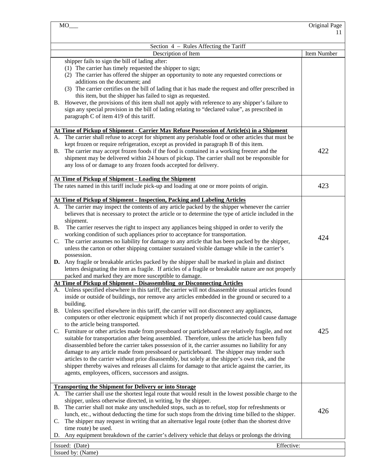|           | MO                                                                                                                                | Original Page<br>11 |
|-----------|-----------------------------------------------------------------------------------------------------------------------------------|---------------------|
|           | Section 4 - Rules Affecting the Tariff                                                                                            |                     |
|           | Description of Item                                                                                                               | Item Number         |
|           | shipper fails to sign the bill of lading after:                                                                                   |                     |
|           | (1) The carrier has timely requested the shipper to sign;                                                                         |                     |
|           | (2) The carrier has offered the shipper an opportunity to note any requested corrections or                                       |                     |
|           | additions on the document; and                                                                                                    |                     |
|           | (3) The carrier certifies on the bill of lading that it has made the request and offer prescribed in                              |                     |
|           | this item, but the shipper has failed to sign as requested.                                                                       |                     |
| <b>B.</b> | However, the provisions of this item shall not apply with reference to any shipper's failure to                                   |                     |
|           | sign any special provision in the bill of lading relating to "declared value", as prescribed in                                   |                     |
|           | paragraph C of item 419 of this tariff.                                                                                           |                     |
|           |                                                                                                                                   |                     |
|           | At Time of Pickup of Shipment - Carrier May Refuse Possession of Article(s) in a Shipment                                         |                     |
|           | A. The carrier shall refuse to accept for shipment any perishable food or other articles that must be                             |                     |
|           | kept frozen or require refrigeration, except as provided in paragraph B of this item.                                             |                     |
| <b>B.</b> | The carrier may accept frozen foods if the food is contained in a working freezer and the                                         | 422                 |
|           | shipment may be delivered within 24 hours of pickup. The carrier shall not be responsible for                                     |                     |
|           | any loss of or damage to any frozen foods accepted for delivery.                                                                  |                     |
|           |                                                                                                                                   |                     |
|           | At Time of Pickup of Shipment - Loading the Shipment                                                                              |                     |
|           | The rates named in this tariff include pick-up and loading at one or more points of origin.                                       | 423                 |
|           |                                                                                                                                   |                     |
|           | At Time of Pickup of Shipment - Inspection, Packing and Labeling Articles                                                         |                     |
|           | A. The carrier may inspect the contents of any article packed by the shipper whenever the carrier                                 |                     |
|           | believes that is necessary to protect the article or to determine the type of article included in the                             |                     |
|           | shipment.                                                                                                                         |                     |
| В.        | The carrier reserves the right to inspect any appliances being shipped in order to verify the                                     |                     |
|           | working condition of such appliances prior to acceptance for transportation.                                                      | 424                 |
| C.        | The carrier assumes no liability for damage to any article that has been packed by the shipper,                                   |                     |
|           | unless the carton or other shipping container sustained visible damage while in the carrier's                                     |                     |
|           | possession.                                                                                                                       |                     |
|           | D. Any fragile or breakable articles packed by the shipper shall be marked in plain and distinct                                  |                     |
|           | letters designating the item as fragile. If articles of a fragile or breakable nature are not properly                            |                     |
|           | packed and marked they are more susceptible to damage.<br>At Time of Pickup of Shipment - Disassembling or Disconnecting Articles |                     |
|           | A. Unless specified elsewhere in this tariff, the carrier will not disassemble unusual articles found                             |                     |
|           | inside or outside of buildings, nor remove any articles embedded in the ground or secured to a                                    |                     |
|           | building.                                                                                                                         |                     |
| В.        | Unless specified elsewhere in this tariff, the carrier will not disconnect any appliances,                                        |                     |
|           | computers or other electronic equipment which if not properly disconnected could cause damage                                     |                     |
|           | to the article being transported.                                                                                                 |                     |
| C.        | Furniture or other articles made from pressboard or particleboard are relatively fragile, and not                                 | 425                 |
|           | suitable for transportation after being assembled. Therefore, unless the article has been fully                                   |                     |
|           | disassembled before the carrier takes possession of it, the carrier assumes no liability for any                                  |                     |
|           | damage to any article made from pressboard or particleboard. The shipper may tender such                                          |                     |
|           | articles to the carrier without prior disassembly, but solely at the shipper's own risk, and the                                  |                     |
|           | shipper thereby waives and releases all claims for damage to that article against the carrier, its                                |                     |
|           | agents, employees, officers, successors and assigns.                                                                              |                     |
|           |                                                                                                                                   |                     |
|           | <b>Transporting the Shipment for Delivery or into Storage</b>                                                                     |                     |
|           | A. The carrier shall use the shortest legal route that would result in the lowest possible charge to the                          |                     |
|           | shipper, unless otherwise directed, in writing, by the shipper.                                                                   |                     |
| <b>B.</b> | The carrier shall not make any unscheduled stops, such as to refuel, stop for refreshments or                                     |                     |
|           | lunch, etc., without deducting the time for such stops from the driving time billed to the shipper.                               | 426                 |
| C.        | The shipper may request in writing that an alternative legal route (other than the shortest drive                                 |                     |
|           | time route) be used.                                                                                                              |                     |
|           | D. Any equipment breakdown of the carrier's delivery vehicle that delays or prolongs the driving                                  |                     |
|           | Issued: (Date)<br>Effective:                                                                                                      |                     |
|           | Issued by: (Name)                                                                                                                 |                     |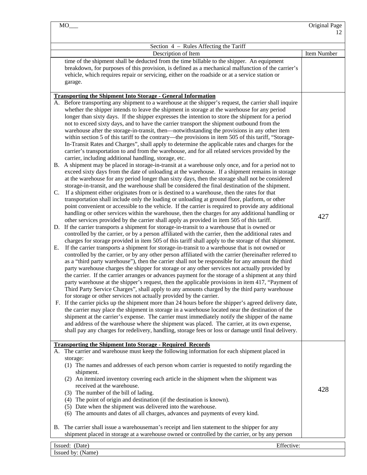| Section 4 - Rules Affecting the Tariff                                                                                                                                                                                                                                                                                                                                                                                                                                                                                                                                                                                                                                                                                                                                                                                                                                                                                                                                                                                                                                                                                                                                                                                                                                                                                                                                                                                                                                                                                                                                                                                                                                                                                                                                                                                                                                                                                                                                                                                                                                                                                                                                                                                                                                                                                                                                                                                                                                                                                                                                                                                                                                                                                                                                                                                                                                                                                                                                                                                                                                                                                                                                                                                                                                                                                                                                                                                                                                                                                                                                                                                              |             |  |  |  |  |  |
|-------------------------------------------------------------------------------------------------------------------------------------------------------------------------------------------------------------------------------------------------------------------------------------------------------------------------------------------------------------------------------------------------------------------------------------------------------------------------------------------------------------------------------------------------------------------------------------------------------------------------------------------------------------------------------------------------------------------------------------------------------------------------------------------------------------------------------------------------------------------------------------------------------------------------------------------------------------------------------------------------------------------------------------------------------------------------------------------------------------------------------------------------------------------------------------------------------------------------------------------------------------------------------------------------------------------------------------------------------------------------------------------------------------------------------------------------------------------------------------------------------------------------------------------------------------------------------------------------------------------------------------------------------------------------------------------------------------------------------------------------------------------------------------------------------------------------------------------------------------------------------------------------------------------------------------------------------------------------------------------------------------------------------------------------------------------------------------------------------------------------------------------------------------------------------------------------------------------------------------------------------------------------------------------------------------------------------------------------------------------------------------------------------------------------------------------------------------------------------------------------------------------------------------------------------------------------------------------------------------------------------------------------------------------------------------------------------------------------------------------------------------------------------------------------------------------------------------------------------------------------------------------------------------------------------------------------------------------------------------------------------------------------------------------------------------------------------------------------------------------------------------------------------------------------------------------------------------------------------------------------------------------------------------------------------------------------------------------------------------------------------------------------------------------------------------------------------------------------------------------------------------------------------------------------------------------------------------------------------------------------------------|-------------|--|--|--|--|--|
| Description of Item                                                                                                                                                                                                                                                                                                                                                                                                                                                                                                                                                                                                                                                                                                                                                                                                                                                                                                                                                                                                                                                                                                                                                                                                                                                                                                                                                                                                                                                                                                                                                                                                                                                                                                                                                                                                                                                                                                                                                                                                                                                                                                                                                                                                                                                                                                                                                                                                                                                                                                                                                                                                                                                                                                                                                                                                                                                                                                                                                                                                                                                                                                                                                                                                                                                                                                                                                                                                                                                                                                                                                                                                                 | Item Number |  |  |  |  |  |
| time of the shipment shall be deducted from the time billable to the shipper. An equipment<br>breakdown, for purposes of this provision, is defined as a mechanical malfunction of the carrier's<br>vehicle, which requires repair or servicing, either on the roadside or at a service station or<br>garage.                                                                                                                                                                                                                                                                                                                                                                                                                                                                                                                                                                                                                                                                                                                                                                                                                                                                                                                                                                                                                                                                                                                                                                                                                                                                                                                                                                                                                                                                                                                                                                                                                                                                                                                                                                                                                                                                                                                                                                                                                                                                                                                                                                                                                                                                                                                                                                                                                                                                                                                                                                                                                                                                                                                                                                                                                                                                                                                                                                                                                                                                                                                                                                                                                                                                                                                       |             |  |  |  |  |  |
|                                                                                                                                                                                                                                                                                                                                                                                                                                                                                                                                                                                                                                                                                                                                                                                                                                                                                                                                                                                                                                                                                                                                                                                                                                                                                                                                                                                                                                                                                                                                                                                                                                                                                                                                                                                                                                                                                                                                                                                                                                                                                                                                                                                                                                                                                                                                                                                                                                                                                                                                                                                                                                                                                                                                                                                                                                                                                                                                                                                                                                                                                                                                                                                                                                                                                                                                                                                                                                                                                                                                                                                                                                     |             |  |  |  |  |  |
| <b>Transporting the Shipment Into Storage - General Information</b><br>A. Before transporting any shipment to a warehouse at the shipper's request, the carrier shall inquire<br>whether the shipper intends to leave the shipment in storage at the warehouse for any period<br>longer than sixty days. If the shipper expresses the intention to store the shipment for a period<br>not to exceed sixty days, and to have the carrier transport the shipment outbound from the<br>warehouse after the storage-in-transit, then-notwithstanding the provisions in any other item<br>within section 5 of this tariff to the contrary—the provisions in item 505 of this tariff, "Storage-<br>In-Transit Rates and Charges", shall apply to determine the applicable rates and charges for the<br>carrier's transportation to and from the warehouse, and for all related services provided by the<br>carrier, including additional handling, storage, etc.<br>B. A shipment may be placed in storage-in-transit at a warehouse only once, and for a period not to<br>exceed sixty days from the date of unloading at the warehouse. If a shipment remains in storage<br>at the warehouse for any period longer than sixty days, then the storage shall not be considered<br>storage-in-transit, and the warehouse shall be considered the final destination of the shipment.<br>If a shipment either originates from or is destined to a warehouse, then the rates for that<br>$C_{\cdot}$<br>transportation shall include only the loading or unloading at ground floor, platform, or other<br>point convenient or accessible to the vehicle. If the carrier is required to provide any additional<br>handling or other services within the warehouse, then the charges for any additional handling or<br>other services provided by the carrier shall apply as provided in item 505 of this tariff.<br>D. If the carrier transports a shipment for storage-in-transit to a warehouse that is owned or<br>controlled by the carrier, or by a person affiliated with the carrier, then the additional rates and<br>charges for storage provided in item 505 of this tariff shall apply to the storage of that shipment.<br>If the carrier transports a shipment for storage-in-transit to a warehouse that is not owned or<br>Е.<br>controlled by the carrier, or by any other person affiliated with the carrier (hereinafter referred to<br>as a "third party warehouse"), then the carrier shall not be responsible for any amount the third<br>party warehouse charges the shipper for storage or any other services not actually provided by<br>the carrier. If the carrier arranges or advances payment for the storage of a shipment at any third<br>party warehouse at the shipper's request, then the applicable provisions in item 417, "Payment of<br>Third Party Service Charges", shall apply to any amounts charged by the third party warehouse<br>for storage or other services not actually provided by the carrier.<br>If the carrier picks up the shipment more than 24 hours before the shipper's agreed delivery date,<br>F.<br>the carrier may place the shipment in storage in a warehouse located near the destination of the<br>shipment at the carrier's expense. The carrier must immediately notify the shipper of the name<br>and address of the warehouse where the shipment was placed. The carrier, at its own expense,<br>shall pay any charges for redelivery, handling, storage fees or loss or damage until final delivery.<br><b>Transporting the Shipment Into Storage - Required Records</b> | 427         |  |  |  |  |  |
| A. The carrier and warehouse must keep the following information for each shipment placed in<br>storage:<br>(1) The names and addresses of each person whom carrier is requested to notify regarding the<br>shipment.<br>(2) An itemized inventory covering each article in the shipment when the shipment was<br>received at the warehouse.<br>(3) The number of the bill of lading.<br>(4) The point of origin and destination (if the destination is known).<br>(5) Date when the shipment was delivered into the warehouse.<br>(6) The amounts and dates of all charges, advances and payments of every kind.                                                                                                                                                                                                                                                                                                                                                                                                                                                                                                                                                                                                                                                                                                                                                                                                                                                                                                                                                                                                                                                                                                                                                                                                                                                                                                                                                                                                                                                                                                                                                                                                                                                                                                                                                                                                                                                                                                                                                                                                                                                                                                                                                                                                                                                                                                                                                                                                                                                                                                                                                                                                                                                                                                                                                                                                                                                                                                                                                                                                                   | 428         |  |  |  |  |  |
| B. The carrier shall issue a warehouse man's receipt and lien statement to the shipper for any<br>shipment placed in storage at a warehouse owned or controlled by the carrier, or by any person                                                                                                                                                                                                                                                                                                                                                                                                                                                                                                                                                                                                                                                                                                                                                                                                                                                                                                                                                                                                                                                                                                                                                                                                                                                                                                                                                                                                                                                                                                                                                                                                                                                                                                                                                                                                                                                                                                                                                                                                                                                                                                                                                                                                                                                                                                                                                                                                                                                                                                                                                                                                                                                                                                                                                                                                                                                                                                                                                                                                                                                                                                                                                                                                                                                                                                                                                                                                                                    |             |  |  |  |  |  |

| $\overline{\phantom{a}}$<br>)ate<br>CCHL<br>$\sim$ $\sim$ $\sim$ $\sim$ | $\mathbf{a}$ |
|-------------------------------------------------------------------------|--------------|
| lecuad<br>hv:<br>Name,<br>1000                                          |              |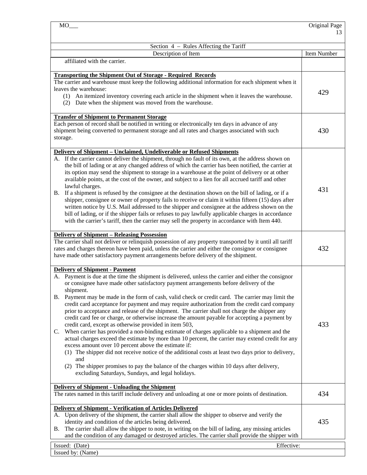|                                                                                                                                                                                                                                                                                                                                                                                                                                                                                                                                                                                                                                                                                                                                                                                                                                                                                                                                                                                                                                                                                                                                                                                                                                                           | Original Page |
|-----------------------------------------------------------------------------------------------------------------------------------------------------------------------------------------------------------------------------------------------------------------------------------------------------------------------------------------------------------------------------------------------------------------------------------------------------------------------------------------------------------------------------------------------------------------------------------------------------------------------------------------------------------------------------------------------------------------------------------------------------------------------------------------------------------------------------------------------------------------------------------------------------------------------------------------------------------------------------------------------------------------------------------------------------------------------------------------------------------------------------------------------------------------------------------------------------------------------------------------------------------|---------------|
|                                                                                                                                                                                                                                                                                                                                                                                                                                                                                                                                                                                                                                                                                                                                                                                                                                                                                                                                                                                                                                                                                                                                                                                                                                                           | 13            |
| Section 4 – Rules Affecting the Tariff                                                                                                                                                                                                                                                                                                                                                                                                                                                                                                                                                                                                                                                                                                                                                                                                                                                                                                                                                                                                                                                                                                                                                                                                                    |               |
| Description of Item                                                                                                                                                                                                                                                                                                                                                                                                                                                                                                                                                                                                                                                                                                                                                                                                                                                                                                                                                                                                                                                                                                                                                                                                                                       | Item Number   |
| affiliated with the carrier.                                                                                                                                                                                                                                                                                                                                                                                                                                                                                                                                                                                                                                                                                                                                                                                                                                                                                                                                                                                                                                                                                                                                                                                                                              |               |
| <b>Transporting the Shipment Out of Storage - Required Records</b><br>The carrier and warehouse must keep the following additional information for each shipment when it<br>leaves the warehouse:<br>(1) An itemized inventory covering each article in the shipment when it leaves the warehouse.<br>(2) Date when the shipment was moved from the warehouse.                                                                                                                                                                                                                                                                                                                                                                                                                                                                                                                                                                                                                                                                                                                                                                                                                                                                                            | 429           |
| <b>Transfer of Shipment to Permanent Storage</b><br>Each person of record shall be notified in writing or electronically ten days in advance of any<br>shipment being converted to permanent storage and all rates and charges associated with such<br>storage.                                                                                                                                                                                                                                                                                                                                                                                                                                                                                                                                                                                                                                                                                                                                                                                                                                                                                                                                                                                           | 430           |
| Delivery of Shipment - Unclaimed, Undeliverable or Refused Shipments<br>A. If the carrier cannot deliver the shipment, through no fault of its own, at the address shown on<br>the bill of lading or at any changed address of which the carrier has been notified, the carrier at<br>its option may send the shipment to storage in a warehouse at the point of delivery or at other<br>available points, at the cost of the owner, and subject to a lien for all accrued tariff and other<br>lawful charges.<br>B. If a shipment is refused by the consignee at the destination shown on the bill of lading, or if a<br>shipper, consignee or owner of property fails to receive or claim it within fifteen (15) days after<br>written notice by U.S. Mail addressed to the shipper and consignee at the address shown on the<br>bill of lading, or if the shipper fails or refuses to pay lawfully applicable charges in accordance<br>with the carrier's tariff, then the carrier may sell the property in accordance with Item 440.                                                                                                                                                                                                                  | 431           |
| <b>Delivery of Shipment - Releasing Possession</b><br>The carrier shall not deliver or relinquish possession of any property transported by it until all tariff<br>rates and charges thereon have been paid, unless the carrier and either the consignor or consignee<br>have made other satisfactory payment arrangements before delivery of the shipment.                                                                                                                                                                                                                                                                                                                                                                                                                                                                                                                                                                                                                                                                                                                                                                                                                                                                                               | 432           |
| <b>Delivery of Shipment - Payment</b><br>A. Payment is due at the time the shipment is delivered, unless the carrier and either the consignor<br>or consignee have made other satisfactory payment arrangements before delivery of the<br>shipment.<br>B. Payment may be made in the form of cash, valid check or credit card. The carrier may limit the<br>credit card acceptance for payment and may require authorization from the credit card company<br>prior to acceptance and release of the shipment. The carrier shall not charge the shipper any<br>credit card fee or charge, or otherwise increase the amount payable for accepting a payment by<br>credit card, except as otherwise provided in item 503,<br>When carrier has provided a non-binding estimate of charges applicable to a shipment and the<br>C.<br>actual charges exceed the estimate by more than 10 percent, the carrier may extend credit for any<br>excess amount over 10 percent above the estimate if:<br>(1) The shipper did not receive notice of the additional costs at least two days prior to delivery,<br>and<br>(2) The shipper promises to pay the balance of the charges within 10 days after delivery,<br>excluding Saturdays, Sundays, and legal holidays. | 433           |
| <b>Delivery of Shipment - Unloading the Shipment</b><br>The rates named in this tariff include delivery and unloading at one or more points of destination.                                                                                                                                                                                                                                                                                                                                                                                                                                                                                                                                                                                                                                                                                                                                                                                                                                                                                                                                                                                                                                                                                               | 434           |
| <b>Delivery of Shipment - Verification of Articles Delivered</b><br>A. Upon delivery of the shipment, the carrier shall allow the shipper to observe and verify the<br>identity and condition of the articles being delivered.<br>The carrier shall allow the shipper to note, in writing on the bill of lading, any missing articles<br>В.<br>and the condition of any damaged or destroyed articles. The carrier shall provide the shipper with                                                                                                                                                                                                                                                                                                                                                                                                                                                                                                                                                                                                                                                                                                                                                                                                         | 435           |

Issued: (Date) Effective: Issued by: (Name)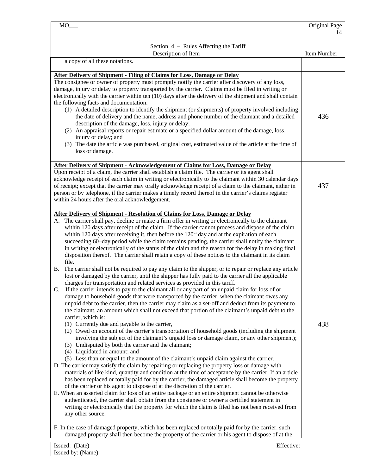| $MO$ <sub>__</sub>                                                                                                                                                                                                                                                                                                                                                                                                                                                                                                                                                                                                                                                                                                                                                                                                                                                                                                                                                                                                                                                                                                                                                                                                                                                                                                                                                                                                                                                                                                                                                                                                                                                                                                                                                                                                                                                                                                                                                                                                                                                                                                                                                                                                                                                                                                                                                                                                                                                                                                                                                                                                                                                                                                                                                                                                                                                    | Original Page |
|-----------------------------------------------------------------------------------------------------------------------------------------------------------------------------------------------------------------------------------------------------------------------------------------------------------------------------------------------------------------------------------------------------------------------------------------------------------------------------------------------------------------------------------------------------------------------------------------------------------------------------------------------------------------------------------------------------------------------------------------------------------------------------------------------------------------------------------------------------------------------------------------------------------------------------------------------------------------------------------------------------------------------------------------------------------------------------------------------------------------------------------------------------------------------------------------------------------------------------------------------------------------------------------------------------------------------------------------------------------------------------------------------------------------------------------------------------------------------------------------------------------------------------------------------------------------------------------------------------------------------------------------------------------------------------------------------------------------------------------------------------------------------------------------------------------------------------------------------------------------------------------------------------------------------------------------------------------------------------------------------------------------------------------------------------------------------------------------------------------------------------------------------------------------------------------------------------------------------------------------------------------------------------------------------------------------------------------------------------------------------------------------------------------------------------------------------------------------------------------------------------------------------------------------------------------------------------------------------------------------------------------------------------------------------------------------------------------------------------------------------------------------------------------------------------------------------------------------------------------------------|---------------|
|                                                                                                                                                                                                                                                                                                                                                                                                                                                                                                                                                                                                                                                                                                                                                                                                                                                                                                                                                                                                                                                                                                                                                                                                                                                                                                                                                                                                                                                                                                                                                                                                                                                                                                                                                                                                                                                                                                                                                                                                                                                                                                                                                                                                                                                                                                                                                                                                                                                                                                                                                                                                                                                                                                                                                                                                                                                                       | 14            |
| Section 4 - Rules Affecting the Tariff                                                                                                                                                                                                                                                                                                                                                                                                                                                                                                                                                                                                                                                                                                                                                                                                                                                                                                                                                                                                                                                                                                                                                                                                                                                                                                                                                                                                                                                                                                                                                                                                                                                                                                                                                                                                                                                                                                                                                                                                                                                                                                                                                                                                                                                                                                                                                                                                                                                                                                                                                                                                                                                                                                                                                                                                                                |               |
| Description of Item                                                                                                                                                                                                                                                                                                                                                                                                                                                                                                                                                                                                                                                                                                                                                                                                                                                                                                                                                                                                                                                                                                                                                                                                                                                                                                                                                                                                                                                                                                                                                                                                                                                                                                                                                                                                                                                                                                                                                                                                                                                                                                                                                                                                                                                                                                                                                                                                                                                                                                                                                                                                                                                                                                                                                                                                                                                   | Item Number   |
| a copy of all these notations.                                                                                                                                                                                                                                                                                                                                                                                                                                                                                                                                                                                                                                                                                                                                                                                                                                                                                                                                                                                                                                                                                                                                                                                                                                                                                                                                                                                                                                                                                                                                                                                                                                                                                                                                                                                                                                                                                                                                                                                                                                                                                                                                                                                                                                                                                                                                                                                                                                                                                                                                                                                                                                                                                                                                                                                                                                        |               |
| <b>After Delivery of Shipment - Filing of Claims for Loss, Damage or Delay</b><br>The consignee or owner of property must promptly notify the carrier after discovery of any loss,<br>damage, injury or delay to property transported by the carrier. Claims must be filed in writing or<br>electronically with the carrier within ten (10) days after the delivery of the shipment and shall contain<br>the following facts and documentation:<br>(1) A detailed description to identify the shipment (or shipments) of property involved including<br>the date of delivery and the name, address and phone number of the claimant and a detailed<br>description of the damage, loss, injury or delay;<br>(2) An appraisal reports or repair estimate or a specified dollar amount of the damage, loss,<br>injury or delay; and<br>(3) The date the article was purchased, original cost, estimated value of the article at the time of<br>loss or damage.                                                                                                                                                                                                                                                                                                                                                                                                                                                                                                                                                                                                                                                                                                                                                                                                                                                                                                                                                                                                                                                                                                                                                                                                                                                                                                                                                                                                                                                                                                                                                                                                                                                                                                                                                                                                                                                                                                           | 436           |
| <b>After Delivery of Shipment - Acknowledgement of Claims for Loss, Damage or Delay</b><br>Upon receipt of a claim, the carrier shall establish a claim file. The carrier or its agent shall<br>acknowledge receipt of each claim in writing or electronically to the claimant within 30 calendar days<br>of receipt; except that the carrier may orally acknowledge receipt of a claim to the claimant, either in<br>person or by telephone, if the carrier makes a timely record thereof in the carrier's claims register<br>within 24 hours after the oral acknowledgement.                                                                                                                                                                                                                                                                                                                                                                                                                                                                                                                                                                                                                                                                                                                                                                                                                                                                                                                                                                                                                                                                                                                                                                                                                                                                                                                                                                                                                                                                                                                                                                                                                                                                                                                                                                                                                                                                                                                                                                                                                                                                                                                                                                                                                                                                                        | 437           |
| <b>After Delivery of Shipment - Resolution of Claims for Loss, Damage or Delay</b><br>A. The carrier shall pay, decline or make a firm offer in writing or electronically to the claimant<br>within 120 days after receipt of the claim. If the carrier cannot process and dispose of the claim<br>within 120 days after receiving it, then before the 120 <sup>th</sup> day and at the expiration of each<br>succeeding 60-day period while the claim remains pending, the carrier shall notify the claimant<br>in writing or electronically of the status of the claim and the reason for the delay in making final<br>disposition thereof. The carrier shall retain a copy of these notices to the claimant in its claim<br>file.<br>B. The carrier shall not be required to pay any claim to the shipper, or to repair or replace any article<br>lost or damaged by the carrier, until the shipper has fully paid to the carrier all the applicable<br>charges for transportation and related services as provided in this tariff.<br>If the carrier intends to pay to the claimant all or any part of an unpaid claim for loss of or<br>C.<br>damage to household goods that were transported by the carrier, when the claimant owes any<br>unpaid debt to the carrier, then the carrier may claim as a set-off and deduct from its payment to<br>the claimant, an amount which shall not exceed that portion of the claimant's unpaid debt to the<br>carrier, which is:<br>(1) Currently due and payable to the carrier,<br>(2) Owed on account of the carrier's transportation of household goods (including the shipment<br>involving the subject of the claimant's unpaid loss or damage claim, or any other shipment);<br>(3) Undisputed by both the carrier and the claimant;<br>(4) Liquidated in amount; and<br>(5) Less than or equal to the amount of the claimant's unpaid claim against the carrier.<br>D. The carrier may satisfy the claim by repairing or replacing the property loss or damage with<br>materials of like kind, quantity and condition at the time of acceptance by the carrier. If an article<br>has been replaced or totally paid for by the carrier, the damaged article shall become the property<br>of the carrier or his agent to dispose of at the discretion of the carrier.<br>E. When an asserted claim for loss of an entire package or an entire shipment cannot be otherwise<br>authenticated, the carrier shall obtain from the consignee or owner a certified statement in<br>writing or electronically that the property for which the claim is filed has not been received from<br>any other source.<br>F. In the case of damaged property, which has been replaced or totally paid for by the carrier, such<br>damaged property shall then become the property of the carrier or his agent to dispose of at the | 438           |
| Issued: (Date)<br>Effective:                                                                                                                                                                                                                                                                                                                                                                                                                                                                                                                                                                                                                                                                                                                                                                                                                                                                                                                                                                                                                                                                                                                                                                                                                                                                                                                                                                                                                                                                                                                                                                                                                                                                                                                                                                                                                                                                                                                                                                                                                                                                                                                                                                                                                                                                                                                                                                                                                                                                                                                                                                                                                                                                                                                                                                                                                                          |               |
|                                                                                                                                                                                                                                                                                                                                                                                                                                                                                                                                                                                                                                                                                                                                                                                                                                                                                                                                                                                                                                                                                                                                                                                                                                                                                                                                                                                                                                                                                                                                                                                                                                                                                                                                                                                                                                                                                                                                                                                                                                                                                                                                                                                                                                                                                                                                                                                                                                                                                                                                                                                                                                                                                                                                                                                                                                                                       |               |

Issued by: (Name)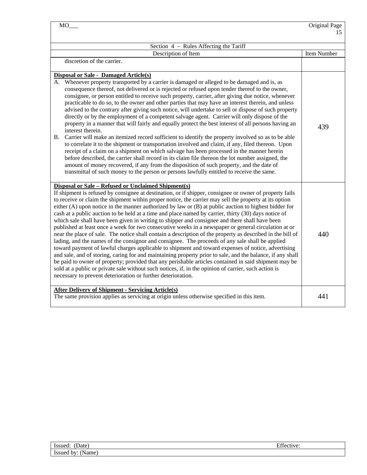| MO                                                                                                                                                                                                                                                                                                                                                                                                                                                                                                                                                                                                                                                                                                                                                                                                                                                                                                                                                                                                                                                                                                                                                                                                                                                                                                                                                                                                                            | Original Page |
|-------------------------------------------------------------------------------------------------------------------------------------------------------------------------------------------------------------------------------------------------------------------------------------------------------------------------------------------------------------------------------------------------------------------------------------------------------------------------------------------------------------------------------------------------------------------------------------------------------------------------------------------------------------------------------------------------------------------------------------------------------------------------------------------------------------------------------------------------------------------------------------------------------------------------------------------------------------------------------------------------------------------------------------------------------------------------------------------------------------------------------------------------------------------------------------------------------------------------------------------------------------------------------------------------------------------------------------------------------------------------------------------------------------------------------|---------------|
|                                                                                                                                                                                                                                                                                                                                                                                                                                                                                                                                                                                                                                                                                                                                                                                                                                                                                                                                                                                                                                                                                                                                                                                                                                                                                                                                                                                                                               | 15            |
| Section 4 – Rules Affecting the Tariff                                                                                                                                                                                                                                                                                                                                                                                                                                                                                                                                                                                                                                                                                                                                                                                                                                                                                                                                                                                                                                                                                                                                                                                                                                                                                                                                                                                        |               |
| Description of Item                                                                                                                                                                                                                                                                                                                                                                                                                                                                                                                                                                                                                                                                                                                                                                                                                                                                                                                                                                                                                                                                                                                                                                                                                                                                                                                                                                                                           | Item Number   |
| discretion of the carrier.                                                                                                                                                                                                                                                                                                                                                                                                                                                                                                                                                                                                                                                                                                                                                                                                                                                                                                                                                                                                                                                                                                                                                                                                                                                                                                                                                                                                    |               |
| Disposal or Sale - Damaged Article(s)<br>A. Whenever property transported by a carrier is damaged or alleged to be damaged and is, as<br>consequence thereof, not delivered or is rejected or refused upon tender thereof to the owner,<br>consignee, or person entitled to receive such property, carrier, after giving due notice, whenever<br>practicable to do so, to the owner and other parties that may have an interest therein, and unless<br>advised to the contrary after giving such notice, will undertake to sell or dispose of such property<br>directly or by the employment of a competent salvage agent. Carrier will only dispose of the<br>property in a manner that will fairly and equally protect the best interest of all persons having an<br>interest therein.<br>Carrier will make an itemized record sufficient to identify the property involved so as to be able<br>B.<br>to correlate it to the shipment or transportation involved and claim, if any, filed thereon. Upon<br>receipt of a claim on a shipment on which salvage has been processed in the manner herein<br>before described, the carrier shall record in its claim file thereon the lot number assigned, the<br>amount of money recovered, if any from the disposition of such property, and the date of<br>transmittal of such money to the person or persons lawfully entitled to receive the same.                          | 439           |
| Disposal or Sale – Refused or Unclaimed Shipment(s)<br>If shipment is refused by consignee at destination, or if shipper, consignee or owner of property fails<br>to receive or claim the shipment within proper notice, the carrier may sell the property at its option<br>either $(A)$ upon notice in the manner authorized by law or $(B)$ at public auction to highest bidder for<br>cash at a public auction to be held at a time and place named by carrier, thirty (30) days notice of<br>which sale shall have been given in writing to shipper and consignee and there shall have been<br>published at least once a week for two consecutive weeks in a newspaper or general circulation at or<br>near the place of sale. The notice shall contain a description of the property as described in the bill of<br>lading, and the names of the consignor and consignee. The proceeds of any sale shall be applied<br>toward payment of lawful charges applicable to shipment and toward expenses of notice, advertising<br>and sale, and of storing, caring for and maintaining property prior to sale, and the balance, if any shall<br>be paid to owner of property; provided that any perishable articles contained in said shipment may be<br>sold at a public or private sale without such notices, if, in the opinion of carrier, such action is<br>necessary to prevent deterioration or further deterioration. | 440           |
| <b>After Delivery of Shipment - Servicing Article(s)</b><br>The same provision applies as servicing at origin unless otherwise specified in this item.                                                                                                                                                                                                                                                                                                                                                                                                                                                                                                                                                                                                                                                                                                                                                                                                                                                                                                                                                                                                                                                                                                                                                                                                                                                                        | 441           |

| Issued:                 | $\mathbf{r}$ on |
|-------------------------|-----------------|
| Date)                   | Effective:      |
| Issued<br>'Name.<br>by: |                 |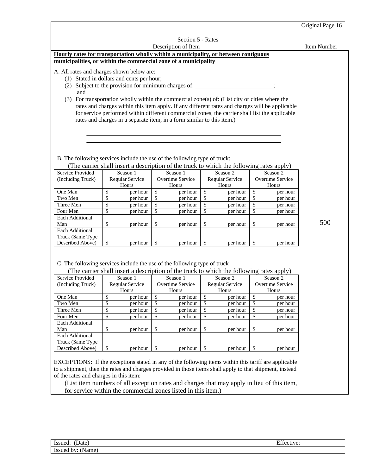| Original Page 16                                                                                                                                                                                                                                                                                                                                                                                                         |    |                                                                        |    |                  |    |                                                                                                                                                                                                   |    |                  |     |
|--------------------------------------------------------------------------------------------------------------------------------------------------------------------------------------------------------------------------------------------------------------------------------------------------------------------------------------------------------------------------------------------------------------------------|----|------------------------------------------------------------------------|----|------------------|----|---------------------------------------------------------------------------------------------------------------------------------------------------------------------------------------------------|----|------------------|-----|
| Section 5 - Rates                                                                                                                                                                                                                                                                                                                                                                                                        |    |                                                                        |    |                  |    |                                                                                                                                                                                                   |    |                  |     |
| Description of Item                                                                                                                                                                                                                                                                                                                                                                                                      |    |                                                                        |    |                  |    |                                                                                                                                                                                                   |    | Item Number      |     |
| Hourly rates for transportation wholly within a municipality, or between contiguous<br>municipalities, or within the commercial zone of a municipality                                                                                                                                                                                                                                                                   |    |                                                                        |    |                  |    |                                                                                                                                                                                                   |    |                  |     |
| A. All rates and charges shown below are:<br>(1) Stated in dollars and cents per hour;<br>(2) Subject to the provision for minimum charges of: ___________________________<br>and<br>(3) For transportation wholly within the commercial zone(s) of: (List city or cities where the                                                                                                                                      |    | rates and charges in a separate item, in a form similar to this item.) |    |                  |    | rates and charges within this item apply. If any different rates and charges will be applicable<br>for service performed within different commercial zones, the carrier shall list the applicable |    |                  |     |
| B. The following services include the use of the following type of truck:<br>(The carrier shall insert a description of the truck to which the following rates apply)                                                                                                                                                                                                                                                    |    |                                                                        |    |                  |    |                                                                                                                                                                                                   |    |                  |     |
| Service Provided                                                                                                                                                                                                                                                                                                                                                                                                         |    | Season 1                                                               |    | Season 1         |    | Season 2                                                                                                                                                                                          |    | Season 2         |     |
| (Including Truck)                                                                                                                                                                                                                                                                                                                                                                                                        |    | Regular Service                                                        |    | Overtime Service |    | Regular Service                                                                                                                                                                                   |    | Overtime Service |     |
|                                                                                                                                                                                                                                                                                                                                                                                                                          |    | Hours                                                                  |    | Hours            |    | Hours                                                                                                                                                                                             |    | Hours            |     |
| One Man                                                                                                                                                                                                                                                                                                                                                                                                                  | \$ | per hour                                                               | \$ | per hour         | \$ | per hour                                                                                                                                                                                          | \$ | per hour         |     |
| Two Men                                                                                                                                                                                                                                                                                                                                                                                                                  | \$ | per hour                                                               | \$ | per hour         | \$ | per hour                                                                                                                                                                                          | \$ | per hour         |     |
| Three Men                                                                                                                                                                                                                                                                                                                                                                                                                | \$ | per hour                                                               | \$ | per hour         | \$ | per hour                                                                                                                                                                                          | \$ | per hour         |     |
| Four Men                                                                                                                                                                                                                                                                                                                                                                                                                 | \$ | per hour                                                               | \$ | per hour         | \$ | per hour                                                                                                                                                                                          | \$ | per hour         |     |
| Each Additional                                                                                                                                                                                                                                                                                                                                                                                                          |    |                                                                        |    |                  |    |                                                                                                                                                                                                   |    |                  |     |
| Man                                                                                                                                                                                                                                                                                                                                                                                                                      | \$ | per hour                                                               | \$ | per hour         | \$ | per hour                                                                                                                                                                                          | \$ | per hour         | 500 |
| <b>Each Additional</b><br>Truck (Same Type<br>Described Above)                                                                                                                                                                                                                                                                                                                                                           | \$ | per hour                                                               | \$ | per hour         | \$ | per hour                                                                                                                                                                                          | \$ | per hour         |     |
| C. The following services include the use of the following type of truck<br>(The carrier shall insert a description of the truck to which the following rates apply)<br>Service Provided<br>Season 1<br>Season 2<br>Season 2<br>Season 1<br>(Including Truck)<br>Regular Service<br><b>Overtime Service</b><br>Regular Service<br>Overtime Service<br>Hours<br>Hours<br>Hours<br>Hours                                   |    |                                                                        |    |                  |    |                                                                                                                                                                                                   |    |                  |     |
| One Man                                                                                                                                                                                                                                                                                                                                                                                                                  | \$ | per hour                                                               | \$ | per hour         | \$ | per hour                                                                                                                                                                                          | \$ | per hour         |     |
| Two Men                                                                                                                                                                                                                                                                                                                                                                                                                  | \$ | per hour                                                               | \$ | per hour         | \$ | per hour                                                                                                                                                                                          | \$ | per hour         |     |
| Three Men                                                                                                                                                                                                                                                                                                                                                                                                                | \$ | per hour                                                               | \$ | per hour         | \$ | per hour                                                                                                                                                                                          | \$ | per hour         |     |
| Four Men                                                                                                                                                                                                                                                                                                                                                                                                                 | \$ | per hour                                                               | \$ | per hour         | \$ | per hour                                                                                                                                                                                          | \$ | per hour         |     |
| Each Additional                                                                                                                                                                                                                                                                                                                                                                                                          |    |                                                                        |    |                  |    |                                                                                                                                                                                                   |    |                  |     |
| Man                                                                                                                                                                                                                                                                                                                                                                                                                      | \$ | per hour                                                               | \$ | per hour         | \$ | per hour                                                                                                                                                                                          | \$ | per hour         |     |
| Each Additional                                                                                                                                                                                                                                                                                                                                                                                                          |    |                                                                        |    |                  |    |                                                                                                                                                                                                   |    |                  |     |
| Truck (Same Type                                                                                                                                                                                                                                                                                                                                                                                                         |    |                                                                        |    |                  |    |                                                                                                                                                                                                   |    |                  |     |
| Described Above)                                                                                                                                                                                                                                                                                                                                                                                                         | \$ | per hour                                                               | \$ | per hour         | \$ | per hour                                                                                                                                                                                          | \$ | per hour         |     |
| EXCEPTIONS: If the exceptions stated in any of the following items within this tariff are applicable<br>to a shipment, then the rates and charges provided in those items shall apply to that shipment, instead<br>of the rates and charges in this item:<br>(List item numbers of all exception rates and charges that may apply in lieu of this item,<br>for service within the commercial zones listed in this item.) |    |                                                                        |    |                  |    |                                                                                                                                                                                                   |    |                  |     |